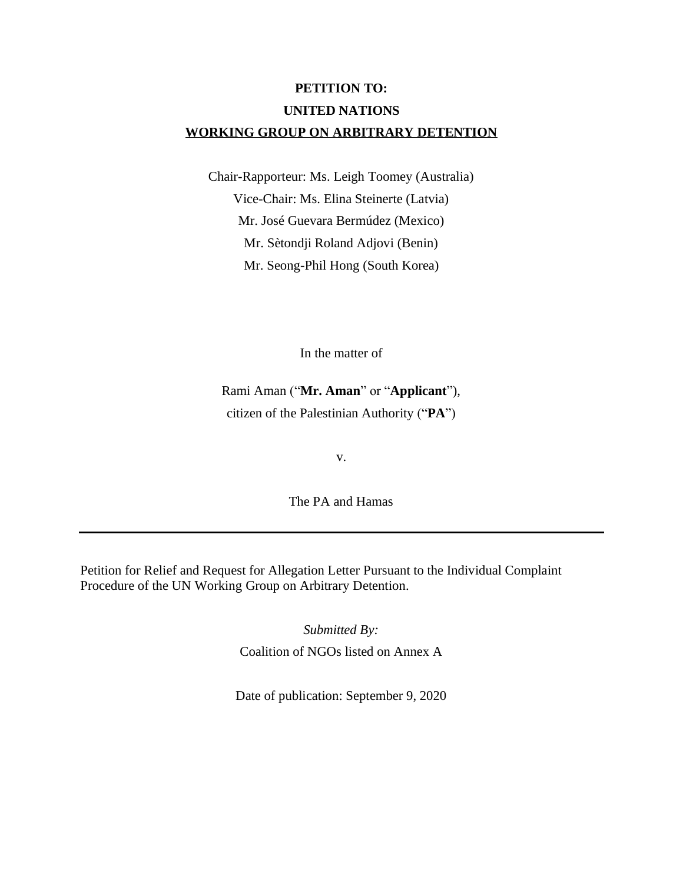# **PETITION TO: UNITED NATIONS WORKING GROUP ON ARBITRARY DETENTION**

Chair-Rapporteur: Ms. Leigh Toomey (Australia) Vice-Chair: Ms. Elina Steinerte (Latvia) Mr. José Guevara Bermúdez (Mexico) Mr. Sètondji Roland Adjovi (Benin) Mr. Seong-Phil Hong (South Korea)

In the matter of

Rami Aman ("**Mr. Aman**" or "**Applicant**"), citizen of the Palestinian Authority ("**PA**")

v.

The PA and Hamas

Petition for Relief and Request for Allegation Letter Pursuant to the Individual Complaint Procedure of the UN Working Group on Arbitrary Detention.

> *Submitted By:* Coalition of NGOs listed on Annex A

Date of publication: September 9, 2020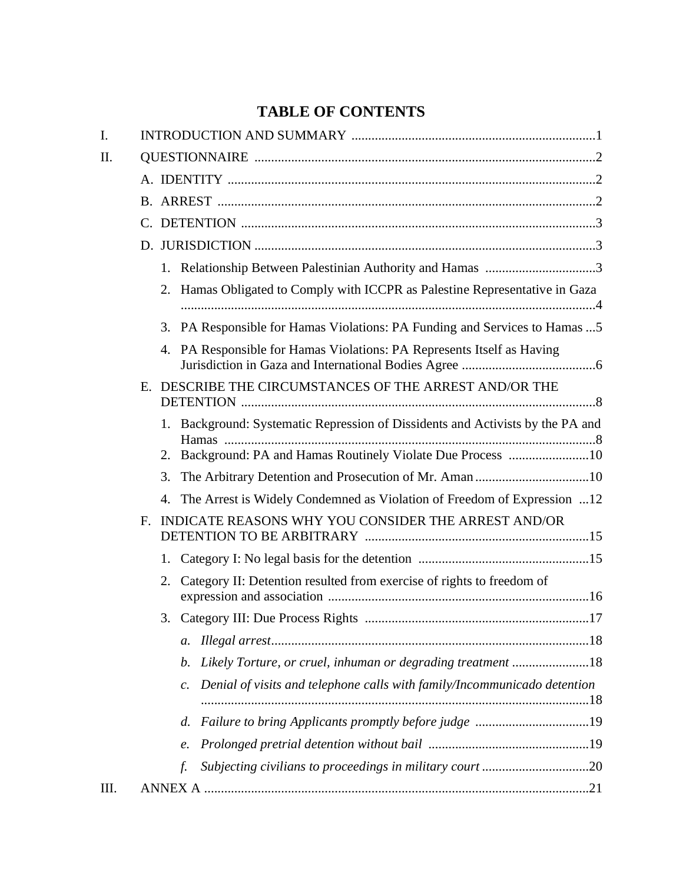# **TABLE OF CONTENTS**

| I. |    |                                                                                                                                                |  |
|----|----|------------------------------------------------------------------------------------------------------------------------------------------------|--|
| Π. |    |                                                                                                                                                |  |
|    |    |                                                                                                                                                |  |
|    |    |                                                                                                                                                |  |
|    |    |                                                                                                                                                |  |
|    |    |                                                                                                                                                |  |
|    |    |                                                                                                                                                |  |
|    |    | Hamas Obligated to Comply with ICCPR as Palestine Representative in Gaza<br>2.                                                                 |  |
|    |    | 3. PA Responsible for Hamas Violations: PA Funding and Services to Hamas  5                                                                    |  |
|    |    | 4. PA Responsible for Hamas Violations: PA Represents Itself as Having                                                                         |  |
|    |    | E. DESCRIBE THE CIRCUMSTANCES OF THE ARREST AND/OR THE                                                                                         |  |
|    |    | 1. Background: Systematic Repression of Dissidents and Activists by the PA and<br>2. Background: PA and Hamas Routinely Violate Due Process 10 |  |
|    |    | 3. The Arbitrary Detention and Prosecution of Mr. Aman 10                                                                                      |  |
|    |    | The Arrest is Widely Condemned as Violation of Freedom of Expression 12<br>4.                                                                  |  |
|    | F. | INDICATE REASONS WHY YOU CONSIDER THE ARREST AND/OR                                                                                            |  |
|    |    | 1.                                                                                                                                             |  |
|    |    | Category II: Detention resulted from exercise of rights to freedom of<br>2.                                                                    |  |
|    |    |                                                                                                                                                |  |
|    |    | a.                                                                                                                                             |  |
|    |    | Likely Torture, or cruel, inhuman or degrading treatment 18<br>b.                                                                              |  |
|    |    | Denial of visits and telephone calls with family/Incommunicado detention<br>$\mathcal{C}$ .                                                    |  |
|    |    | Failure to bring Applicants promptly before judge 19<br>d.                                                                                     |  |
|    |    | e.                                                                                                                                             |  |
|    |    | f.                                                                                                                                             |  |
| Ш. |    |                                                                                                                                                |  |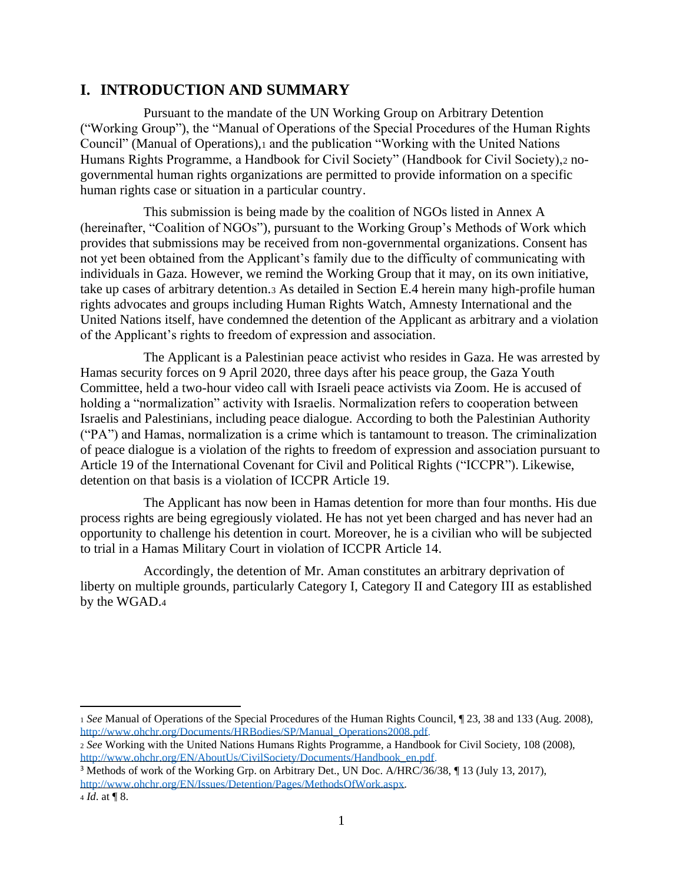## **I. INTRODUCTION AND SUMMARY**

Pursuant to the mandate of the UN Working Group on Arbitrary Detention ("Working Group"), the "Manual of Operations of the Special Procedures of the Human Rights Council" (Manual of Operations),<sup>1</sup> and the publication "Working with the United Nations Humans Rights Programme, a Handbook for Civil Society" (Handbook for Civil Society),<sup>2</sup> nogovernmental human rights organizations are permitted to provide information on a specific human rights case or situation in a particular country.

This submission is being made by the coalition of NGOs listed in Annex A (hereinafter, "Coalition of NGOs"), pursuant to the Working Group's Methods of Work which provides that submissions may be received from non-governmental organizations. Consent has not yet been obtained from the Applicant's family due to the difficulty of communicating with individuals in Gaza. However, we remind the Working Group that it may, on its own initiative, take up cases of arbitrary detention.<sup>3</sup> As detailed in Section E.4 herein many high-profile human rights advocates and groups including Human Rights Watch, Amnesty International and the United Nations itself, have condemned the detention of the Applicant as arbitrary and a violation of the Applicant's rights to freedom of expression and association.

The Applicant is a Palestinian peace activist who resides in Gaza. He was arrested by Hamas security forces on 9 April 2020, three days after his peace group, the Gaza Youth Committee, held a two-hour video call with Israeli peace activists via Zoom. He is accused of holding a "normalization" activity with Israelis. Normalization refers to cooperation between Israelis and Palestinians, including peace dialogue. According to both the Palestinian Authority ("PA") and Hamas, normalization is a crime which is tantamount to treason. The criminalization of peace dialogue is a violation of the rights to freedom of expression and association pursuant to Article 19 of the International Covenant for Civil and Political Rights ("ICCPR"). Likewise, detention on that basis is a violation of ICCPR Article 19.

The Applicant has now been in Hamas detention for more than four months. His due process rights are being egregiously violated. He has not yet been charged and has never had an opportunity to challenge his detention in court. Moreover, he is a civilian who will be subjected to trial in a Hamas Military Court in violation of ICCPR Article 14.

Accordingly, the detention of Mr. Aman constitutes an arbitrary deprivation of liberty on multiple grounds, particularly Category I, Category II and Category III as established by the WGAD.<sup>4</sup>

<sup>1</sup> *See* Manual of Operations of the Special Procedures of the Human Rights Council, ¶ 23, 38 and 133 (Aug. 2008), [http://www.ohchr.org/Documents/HRBodies/SP/Manual\\_Operations2008.pdf.](http://www.ohchr.org/Documents/HRBodies/SP/Manual_Operations2008.pdf)

<sup>2</sup> *See* Working with the United Nations Humans Rights Programme, a Handbook for Civil Society, 108 (2008), [http://www.ohchr.org/EN/AboutUs/CivilSociety/Documents/Handbook\\_en.pdf.](http://www.ohchr.org/EN/AboutUs/CivilSociety/Documents/Handbook_en.pdf)

<sup>3</sup> Methods of work of the Working Grp. on Arbitrary Det., UN Doc. A/HRC/36/38, ¶ 13 (July 13, 2017), <http://www.ohchr.org/EN/Issues/Detention/Pages/MethodsOfWork.aspx>*.*

<sup>4</sup> *Id*. at ¶ 8.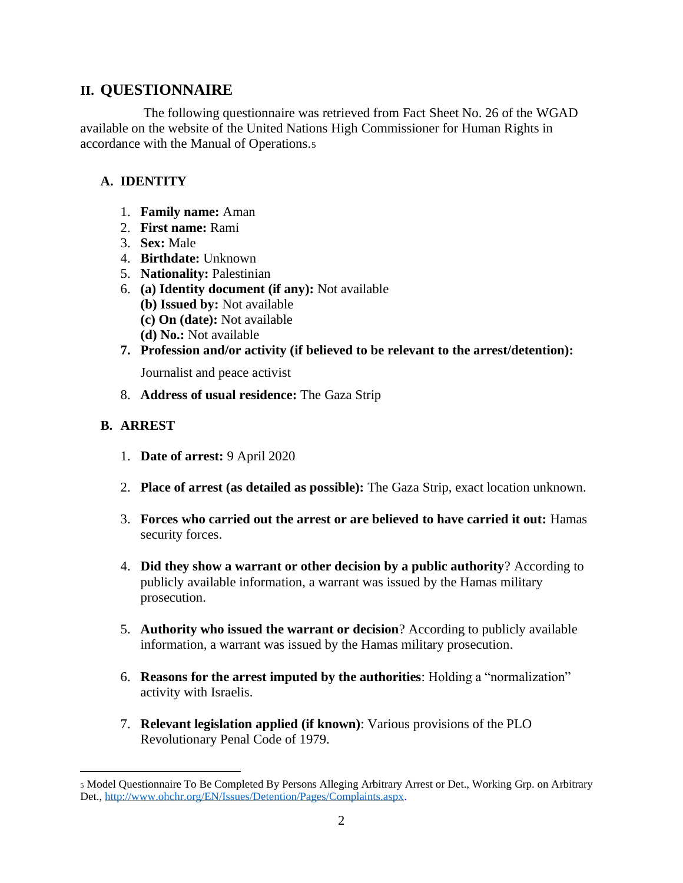## **II. QUESTIONNAIRE**

The following questionnaire was retrieved from Fact Sheet No. 26 of the WGAD available on the website of the United Nations High Commissioner for Human Rights in accordance with the Manual of Operations.<sup>5</sup>

## **A. IDENTITY**

- 1. **Family name:** Aman
- 2. **First name:** Rami
- 3. **Sex:** Male
- 4. **Birthdate:** Unknown
- 5. **Nationality:** Palestinian
- 6. **(a) Identity document (if any):** Not available
	- **(b) Issued by:** Not available
	- **(c) On (date):** Not available
	- **(d) No.:** Not available
- **7. Profession and/or activity (if believed to be relevant to the arrest/detention):**

Journalist and peace activist

8. **Address of usual residence:** The Gaza Strip

## **B. ARREST**

- 1. **Date of arrest:** 9 April 2020
- 2. **Place of arrest (as detailed as possible):** The Gaza Strip, exact location unknown.
- 3. **Forces who carried out the arrest or are believed to have carried it out:** Hamas security forces.
- 4. **Did they show a warrant or other decision by a public authority**? According to publicly available information, a warrant was issued by the Hamas military prosecution.
- 5. **Authority who issued the warrant or decision**? According to publicly available information, a warrant was issued by the Hamas military prosecution.
- 6. **Reasons for the arrest imputed by the authorities**: Holding a "normalization" activity with Israelis.
- 7. **Relevant legislation applied (if known)**: Various provisions of the PLO Revolutionary Penal Code of 1979.

<sup>5</sup> Model Questionnaire To Be Completed By Persons Alleging Arbitrary Arrest or Det., Working Grp. on Arbitrary Det., [http://www.ohchr.org/EN/Issues/Detention/Pages/Complaints.aspx.](http://www.ohchr.org/EN/Issues/Detention/Pages/Complaints.aspx)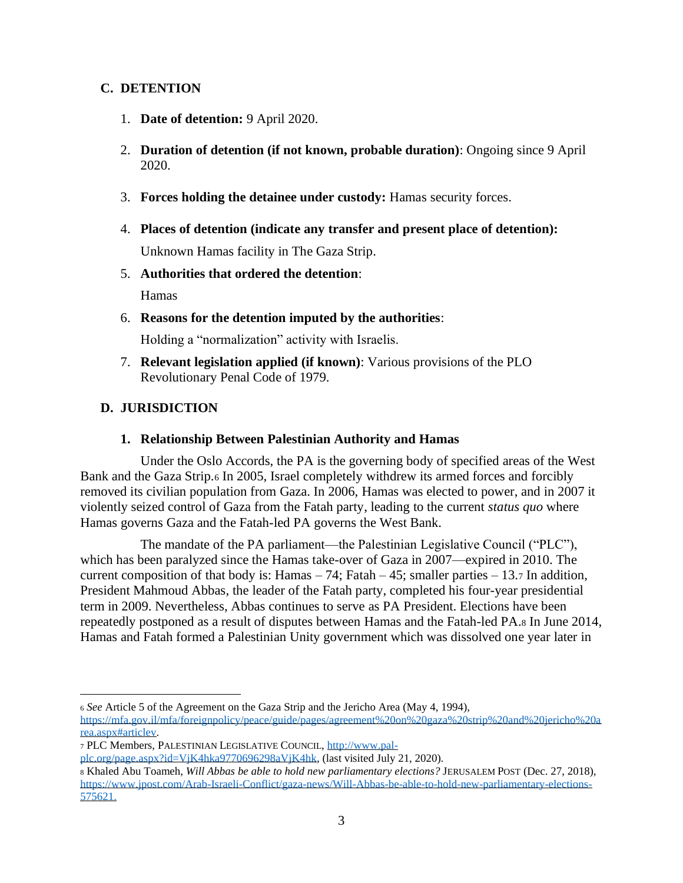#### **C. DETENTION**

- 1. **Date of detention:** 9 April 2020.
- 2. **Duration of detention (if not known, probable duration)**: Ongoing since 9 April 2020.
- 3. **Forces holding the detainee under custody:** Hamas security forces.
- 4. **Places of detention (indicate any transfer and present place of detention):**

Unknown Hamas facility in The Gaza Strip.

5. **Authorities that ordered the detention**:

Hamas

6. **Reasons for the detention imputed by the authorities**:

Holding a "normalization" activity with Israelis.

7. **Relevant legislation applied (if known)**: Various provisions of the PLO Revolutionary Penal Code of 1979.

## **D. JURISDICTION**

#### **1. Relationship Between Palestinian Authority and Hamas**

Under the Oslo Accords, the PA is the governing body of specified areas of the West Bank and the Gaza Strip.<sup>6</sup> In 2005, Israel completely withdrew its armed forces and forcibly removed its civilian population from Gaza. In 2006, Hamas was elected to power, and in 2007 it violently seized control of Gaza from the Fatah party, leading to the current *status quo* where Hamas governs Gaza and the Fatah-led PA governs the West Bank.

The mandate of the PA parliament—the Palestinian Legislative Council ("PLC"), which has been paralyzed since the Hamas take-over of Gaza in 2007—expired in 2010. The current composition of that body is: Hamas  $-74$ ; Fatah  $-45$ ; smaller parties  $-13.7$  In addition, President Mahmoud Abbas, the leader of the Fatah party, completed his four-year presidential term in 2009. Nevertheless, Abbas continues to serve as PA President. Elections have been repeatedly postponed as a result of disputes between Hamas and the Fatah-led PA.<sup>8</sup> In June 2014, Hamas and Fatah formed a Palestinian Unity government which was dissolved one year later in

<sup>7</sup> PLC Members, PALESTINIAN LEGISLATIVE COUNCIL, [http://www.pal-](http://www.pal-plc.org/page.aspx?id=VjK4hka9770696298aVjK4hk)

[plc.org/page.aspx?id=VjK4hka9770696298aVjK4hk,](http://www.pal-plc.org/page.aspx?id=VjK4hka9770696298aVjK4hk) (last visited July 21, 2020).

<sup>6</sup> *See* Article 5 of the Agreement on the Gaza Strip and the Jericho Area (May 4, 1994),

[https://mfa.gov.il/mfa/foreignpolicy/peace/guide/pages/agreement%20on%20gaza%20strip%20and%20jericho%20a](https://mfa.gov.il/mfa/foreignpolicy/peace/guide/pages/agreement%20on%20gaza%20strip%20and%20jericho%20area.aspx#articlev) [rea.aspx#articlev.](https://mfa.gov.il/mfa/foreignpolicy/peace/guide/pages/agreement%20on%20gaza%20strip%20and%20jericho%20area.aspx#articlev)

<sup>8</sup> Khaled Abu Toameh, *Will Abbas be able to hold new parliamentary elections?* JERUSALEM POST (Dec. 27, 2018), [https://www.jpost.com/Arab-Israeli-Conflict/gaza-news/Will-Abbas-be-able-to-hold-new-parliamentary-elections-](https://www.jpost.com/Arab-Israeli-Conflict/gaza-news/Will-Abbas-be-able-to-hold-new-parliamentary-elections-575621)[575621.](https://www.jpost.com/Arab-Israeli-Conflict/gaza-news/Will-Abbas-be-able-to-hold-new-parliamentary-elections-575621)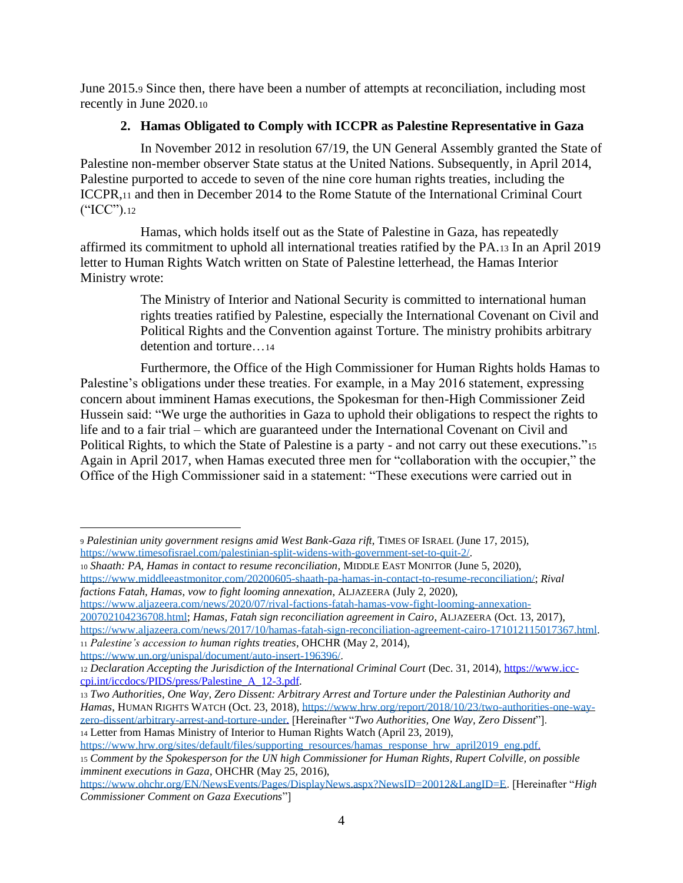June 2015.<sup>9</sup> Since then, there have been a number of attempts at reconciliation, including most recently in June 2020.<sup>10</sup>

#### **2. Hamas Obligated to Comply with ICCPR as Palestine Representative in Gaza**

In November 2012 in resolution 67/19, the UN General Assembly granted the State of Palestine non-member observer State status at the United Nations. Subsequently, in April 2014, Palestine purported to accede to seven of the nine core human rights treaties, including the ICCPR,<sup>11</sup> and then in December 2014 to the Rome Statute of the International Criminal Court ("ICC").<sup>12</sup>

Hamas, which holds itself out as the State of Palestine in Gaza, has repeatedly affirmed its commitment to uphold all international treaties ratified by the PA.<sup>13</sup> In an April 2019 letter to Human Rights Watch written on State of Palestine letterhead, the Hamas Interior Ministry wrote:

> The Ministry of Interior and National Security is committed to international human rights treaties ratified by Palestine, especially the International Covenant on Civil and Political Rights and the Convention against Torture. The ministry prohibits arbitrary detention and torture…<sup>14</sup>

Furthermore, the Office of the High Commissioner for Human Rights holds Hamas to Palestine's obligations under these treaties. For example, in a May 2016 statement, expressing concern about imminent Hamas executions, the Spokesman for then-High Commissioner Zeid Hussein said: "We urge the authorities in Gaza to uphold their obligations to respect the rights to life and to a fair trial – which are guaranteed under the International Covenant on Civil and Political Rights, to which the State of Palestine is a party - and not carry out these executions."<sup>15</sup> Again in April 2017, when Hamas executed three men for "collaboration with the occupier," the Office of the High Commissioner said in a statement: "These executions were carried out in

[https://www.aljazeera.com/news/2020/07/rival-factions-fatah-hamas-vow-fight-looming-annexation-](https://www.aljazeera.com/news/2020/07/rival-factions-fatah-hamas-vow-fight-looming-annexation-200702104236708.html)

[200702104236708.html;](https://www.aljazeera.com/news/2020/07/rival-factions-fatah-hamas-vow-fight-looming-annexation-200702104236708.html) *Hamas, Fatah sign reconciliation agreement in Cairo*, ALJAZEERA (Oct. 13, 2017), [https://www.aljazeera.com/news/2017/10/hamas-fatah-sign-reconciliation-agreement-cairo-171012115017367.html.](https://www.aljazeera.com/news/2017/10/hamas-fatah-sign-reconciliation-agreement-cairo-171012115017367.html) <sup>11</sup> *Palestine's accession to human rights treaties*, OHCHR (May 2, 2014), [https://www.un.org/unispal/document/auto-insert-196396/.](https://www.un.org/unispal/document/auto-insert-196396/) 

<sup>13</sup> *Two Authorities, One Way, Zero Dissent: Arbitrary Arrest and Torture under the Palestinian Authority and Hamas*, HUMAN RIGHTS WATCH (Oct. 23, 2018), [https://www.hrw.org/report/2018/10/23/two-authorities-one-way](https://www.hrw.org/report/2018/10/23/two-authorities-one-way-zero-dissent/arbitrary-arrest-and-torture-under)[zero-dissent/arbitrary-arrest-and-torture-under.](https://www.hrw.org/report/2018/10/23/two-authorities-one-way-zero-dissent/arbitrary-arrest-and-torture-under) [Hereinafter "*Two Authorities, One Way, Zero Dissent*"]. <sup>14</sup> Letter from Hamas Ministry of Interior to Human Rights Watch (April 23, 2019),

[https://www.hrw.org/sites/default/files/supporting\\_resources/hamas\\_response\\_hrw\\_april2019\\_eng.pdf.](https://www.hrw.org/sites/default/files/supporting_resources/hamas_response_hrw_april2019_eng.pdf)

<sup>9</sup> *Palestinian unity government resigns amid West Bank-Gaza rift*, TIMES OF ISRAEL (June 17, 2015), [https://www.timesofisrael.com/palestinian-split-widens-with-government-set-to-quit-2/.](https://www.timesofisrael.com/palestinian-split-widens-with-government-set-to-quit-2/)

<sup>10</sup> *Shaath: PA, Hamas in contact to resume reconciliation*, MIDDLE EAST MONITOR (June 5, 2020), [https://www.middleeastmonitor.com/20200605-shaath-pa-hamas-in-contact-to-resume-reconciliation/;](https://www.middleeastmonitor.com/20200605-shaath-pa-hamas-in-contact-to-resume-reconciliation/) *Rival factions Fatah, Hamas, vow to fight looming annexation*, ALJAZEERA (July 2, 2020),

<sup>12</sup> *[Declaration Accepting the Jurisdiction of the International Criminal Court](file:///C:/Users/Mini/Dropbox/Working%20Group%20on%20Arbitrary%20Detention/Rami%20Aman/Declaration%20Accepting%20the%20Jurisdiction%20of%20the%20International%20Criminal%20Court%20(Dec.%2031,%202014),%20https:/www.icc-cpi.int/iccdocs/PIDS/press/Palestine_A_12-3.pdf)* (Dec. 31, 2014), [https://www.icc](file:///C:/Users/Mini/Dropbox/Working%20Group%20on%20Arbitrary%20Detention/Rami%20Aman/Declaration%20Accepting%20the%20Jurisdiction%20of%20the%20International%20Criminal%20Court%20(Dec.%2031,%202014),%20https:/www.icc-cpi.int/iccdocs/PIDS/press/Palestine_A_12-3.pdf)[cpi.int/iccdocs/PIDS/press/Palestine\\_A\\_12-3.pdf.](file:///C:/Users/Mini/Dropbox/Working%20Group%20on%20Arbitrary%20Detention/Rami%20Aman/Declaration%20Accepting%20the%20Jurisdiction%20of%20the%20International%20Criminal%20Court%20(Dec.%2031,%202014),%20https:/www.icc-cpi.int/iccdocs/PIDS/press/Palestine_A_12-3.pdf)

<sup>15</sup> *Comment by the Spokesperson for the UN high Commissioner for Human Rights, Rupert Colville, on possible imminent executions in Gaza*, OHCHR (May 25, 2016),

[https://www.ohchr.org/EN/NewsEvents/Pages/DisplayNews.aspx?NewsID=20012&LangID=E.](https://www.ohchr.org/EN/NewsEvents/Pages/DisplayNews.aspx?NewsID=20012&LangID=E) [Hereinafter "*High Commissioner Comment on Gaza Executions*"]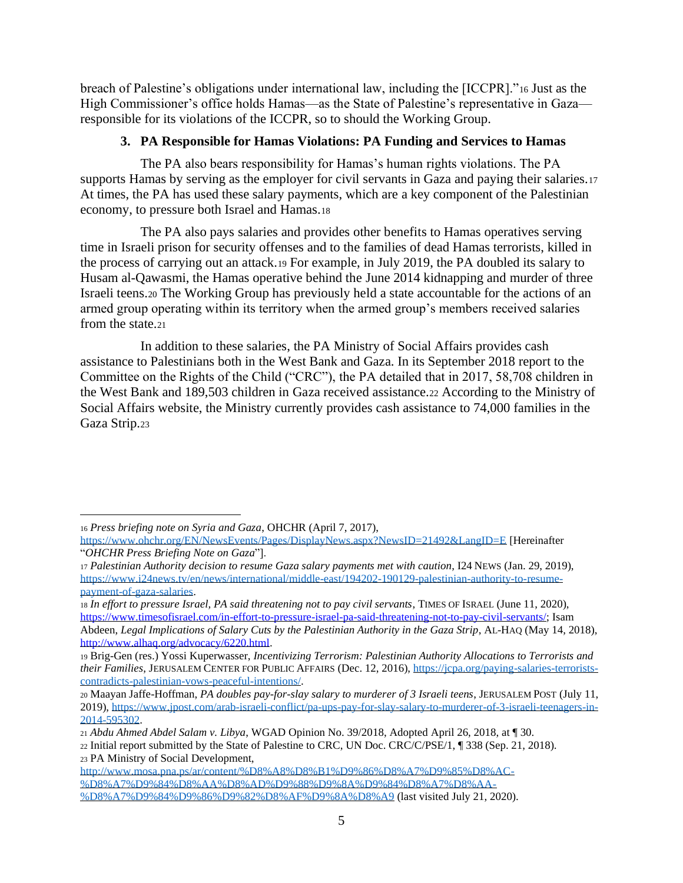breach of Palestine's obligations under international law, including the [ICCPR]."<sup>16</sup> Just as the High Commissioner's office holds Hamas—as the State of Palestine's representative in Gaza responsible for its violations of the ICCPR, so to should the Working Group.

#### **3. PA Responsible for Hamas Violations: PA Funding and Services to Hamas**

The PA also bears responsibility for Hamas's human rights violations. The PA supports Hamas by serving as the employer for civil servants in Gaza and paying their salaries.<sup>17</sup> At times, the PA has used these salary payments, which are a key component of the Palestinian economy, to pressure both Israel and Hamas.<sup>18</sup>

The PA also pays salaries and provides other benefits to Hamas operatives serving time in Israeli prison for security offenses and to the families of dead Hamas terrorists, killed in the process of carrying out an attack.<sup>19</sup> For example, in July 2019, the PA doubled its salary to Husam al-Qawasmi, the Hamas operative behind the June 2014 kidnapping and murder of three Israeli teens.<sup>20</sup> The Working Group has previously held a state accountable for the actions of an armed group operating within its territory when the armed group's members received salaries from the state.21

In addition to these salaries, the PA Ministry of Social Affairs provides cash assistance to Palestinians both in the West Bank and Gaza. In its September 2018 report to the Committee on the Rights of the Child ("CRC"), the PA detailed that in 2017, 58,708 children in the West Bank and 189,503 children in Gaza received assistance.<sup>22</sup> According to the Ministry of Social Affairs website, the Ministry currently provides cash assistance to 74,000 families in the Gaza Strip.<sup>23</sup>

<sup>21</sup> *Abdu Ahmed Abdel Salam v. Libya*, WGAD Opinion No. 39/2018, Adopted April 26, 2018, at ¶ 30. <sup>22</sup> Initial report submitted by the State of Palestine to CRC, UN Doc. CRC/C/PSE/1, ¶ 338 (Sep. 21, 2018). <sup>23</sup> PA Ministry of Social Development,

<sup>16</sup> *Press briefing note on Syria and Gaza*, OHCHR (April 7, 2017),

<https://www.ohchr.org/EN/NewsEvents/Pages/DisplayNews.aspx?NewsID=21492&LangID=E> [Hereinafter "*OHCHR Press Briefing Note on Gaza*"].

<sup>17</sup> *Palestinian Authority decision to resume Gaza salary payments met with caution*, I24 NEWS (Jan. 29, 2019), [https://www.i24news.tv/en/news/international/middle-east/194202-190129-palestinian-authority-to-resume](https://www.i24news.tv/en/news/international/middle-east/194202-190129-palestinian-authority-to-resume-payment-of-gaza-salaries)[payment-of-gaza-salaries.](https://www.i24news.tv/en/news/international/middle-east/194202-190129-palestinian-authority-to-resume-payment-of-gaza-salaries)

<sup>18</sup> *In effort to pressure Israel, PA said threatening not to pay civil servants*, TIMES OF ISRAEL (June 11, 2020), [https://www.timesofisrael.com/in-effort-to-pressure-israel-pa-said-threatening-not-to-pay-civil-servants/;](https://www.timesofisrael.com/in-effort-to-pressure-israel-pa-said-threatening-not-to-pay-civil-servants/) Isam Abdeen, *Legal Implications of Salary Cuts by the Palestinian Authority in the Gaza Strip*, AL-HAQ (May 14, 2018), [http://www.alhaq.org/advocacy/6220.html.](http://www.alhaq.org/advocacy/6220.html)

<sup>19</sup> Brig-Gen (res.) Yossi Kuperwasser, *Incentivizing Terrorism: Palestinian Authority Allocations to Terrorists and their Families*, JERUSALEM CENTER FOR PUBLIC AFFAIRS (Dec. 12, 2016)[, https://jcpa.org/paying-salaries-terrorists](https://jcpa.org/paying-salaries-terrorists-contradicts-palestinian-vows-peaceful-intentions/)[contradicts-palestinian-vows-peaceful-intentions/.](https://jcpa.org/paying-salaries-terrorists-contradicts-palestinian-vows-peaceful-intentions/)

<sup>20</sup> Maayan Jaffe-Hoffman, *PA doubles pay-for-slay salary to murderer of 3 Israeli teens*, JERUSALEM POST (July 11, 2019), [https://www.jpost.com/arab-israeli-conflict/pa-ups-pay-for-slay-salary-to-murderer-of-3-israeli-teenagers-in-](https://www.jpost.com/arab-israeli-conflict/pa-ups-pay-for-slay-salary-to-murderer-of-3-israeli-teenagers-in-2014-595302)[2014-595302.](https://www.jpost.com/arab-israeli-conflict/pa-ups-pay-for-slay-salary-to-murderer-of-3-israeli-teenagers-in-2014-595302) 

[http://www.mosa.pna.ps/ar/content/%D8%A8%D8%B1%D9%86%D8%A7%D9%85%D8%AC-](http://www.mosa.pna.ps/ar/content/%D8%A8%D8%B1%D9%86%D8%A7%D9%85%D8%AC-%D8%A7%D9%84%D8%AA%D8%AD%D9%88%D9%8A%D9%84%D8%A7%D8%AA-%D8%A7%D9%84%D9%86%D9%82%D8%AF%D9%8A%D8%A9) [%D8%A7%D9%84%D8%AA%D8%AD%D9%88%D9%8A%D9%84%D8%A7%D8%AA-](http://www.mosa.pna.ps/ar/content/%D8%A8%D8%B1%D9%86%D8%A7%D9%85%D8%AC-%D8%A7%D9%84%D8%AA%D8%AD%D9%88%D9%8A%D9%84%D8%A7%D8%AA-%D8%A7%D9%84%D9%86%D9%82%D8%AF%D9%8A%D8%A9) [%D8%A7%D9%84%D9%86%D9%82%D8%AF%D9%8A%D8%A9](http://www.mosa.pna.ps/ar/content/%D8%A8%D8%B1%D9%86%D8%A7%D9%85%D8%AC-%D8%A7%D9%84%D8%AA%D8%AD%D9%88%D9%8A%D9%84%D8%A7%D8%AA-%D8%A7%D9%84%D9%86%D9%82%D8%AF%D9%8A%D8%A9) (last visited July 21, 2020).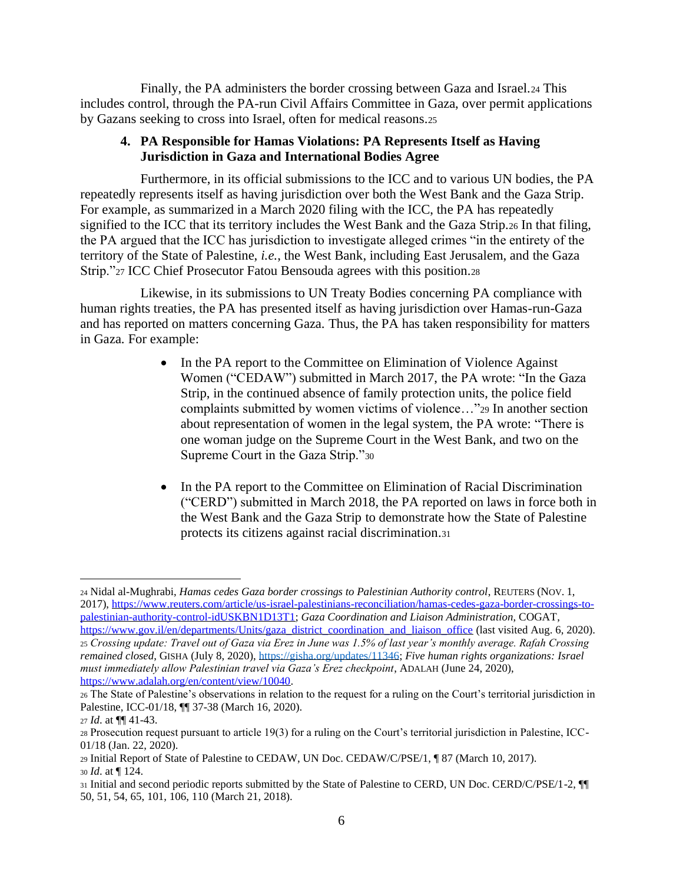Finally, the PA administers the border crossing between Gaza and Israel.<sup>24</sup> This includes control, through the PA-run Civil Affairs Committee in Gaza, over permit applications by Gazans seeking to cross into Israel, often for medical reasons.<sup>25</sup>

#### **4. PA Responsible for Hamas Violations: PA Represents Itself as Having Jurisdiction in Gaza and International Bodies Agree**

Furthermore, in its official submissions to the ICC and to various UN bodies, the PA repeatedly represents itself as having jurisdiction over both the West Bank and the Gaza Strip. For example, as summarized in a March 2020 filing with the ICC, the PA has repeatedly signified to the ICC that its territory includes the West Bank and the Gaza Strip.<sup>26</sup> In that filing, the PA argued that the ICC has jurisdiction to investigate alleged crimes "in the entirety of the territory of the State of Palestine, *i.e.*, the West Bank, including East Jerusalem, and the Gaza Strip."<sup>27</sup> ICC Chief Prosecutor Fatou Bensouda agrees with this position.<sup>28</sup>

Likewise, in its submissions to UN Treaty Bodies concerning PA compliance with human rights treaties, the PA has presented itself as having jurisdiction over Hamas-run-Gaza and has reported on matters concerning Gaza. Thus, the PA has taken responsibility for matters in Gaza. For example:

- In the PA report to the Committee on Elimination of Violence Against Women ("CEDAW") submitted in March 2017, the PA wrote: "In the Gaza Strip, in the continued absence of family protection units, the police field complaints submitted by women victims of violence…"<sup>29</sup> In another section about representation of women in the legal system, the PA wrote: "There is one woman judge on the Supreme Court in the West Bank, and two on the Supreme Court in the Gaza Strip."<sup>30</sup>
- In the PA report to the Committee on Elimination of Racial Discrimination ("CERD") submitted in March 2018, the PA reported on laws in force both in the West Bank and the Gaza Strip to demonstrate how the State of Palestine protects its citizens against racial discrimination.<sup>31</sup>

<sup>24</sup> Nidal al-Mughrabi, *Hamas cedes Gaza border crossings to Palestinian Authority control*, REUTERS (NOV. 1, 2017), [https://www.reuters.com/article/us-israel-palestinians-reconciliation/hamas-cedes-gaza-border-crossings-to](https://www.reuters.com/article/us-israel-palestinians-reconciliation/hamas-cedes-gaza-border-crossings-to-palestinian-authority-control-idUSKBN1D13T1)[palestinian-authority-control-idUSKBN1D13T1;](https://www.reuters.com/article/us-israel-palestinians-reconciliation/hamas-cedes-gaza-border-crossings-to-palestinian-authority-control-idUSKBN1D13T1) *Gaza Coordination and Liaison Administration*, COGAT, https://www.gov.jl/en/departments/Units/gaza\_district\_coordination\_and\_liaison\_office (last visited Aug. 6, 2020). <sup>25</sup> *Crossing update: Travel out of Gaza via Erez in June was 1.5% of last year's monthly average. Rafah Crossing remained closed*, GISHA (July 8, 2020), [https://gisha.org/updates/11346;](https://gisha.org/updates/11346) *Five human rights organizations: Israel must immediately allow Palestinian travel via Gaza's Erez checkpoint*, ADALAH (June 24, 2020), [https://www.adalah.org/en/content/view/10040.](https://www.adalah.org/en/content/view/10040)

<sup>26</sup> The State of Palestine's observations in relation to the request for a ruling on the Court's territorial jurisdiction in Palestine, ICC-01/18, ¶¶ 37-38 (March 16, 2020).

<sup>27</sup> *Id*. at ¶¶ 41-43.

<sup>28</sup> Prosecution request pursuant to article 19(3) for a ruling on the Court's territorial jurisdiction in Palestine, ICC-01/18 (Jan. 22, 2020).

<sup>29</sup> Initial Report of State of Palestine to CEDAW, UN Doc. CEDAW/C/PSE/1, ¶ 87 (March 10, 2017). <sup>30</sup> *Id*. at ¶ 124.

<sup>31</sup> Initial and second periodic reports submitted by the State of Palestine to CERD, UN Doc. CERD/C/PSE/1-2, ¶¶ 50, 51, 54, 65, 101, 106, 110 (March 21, 2018).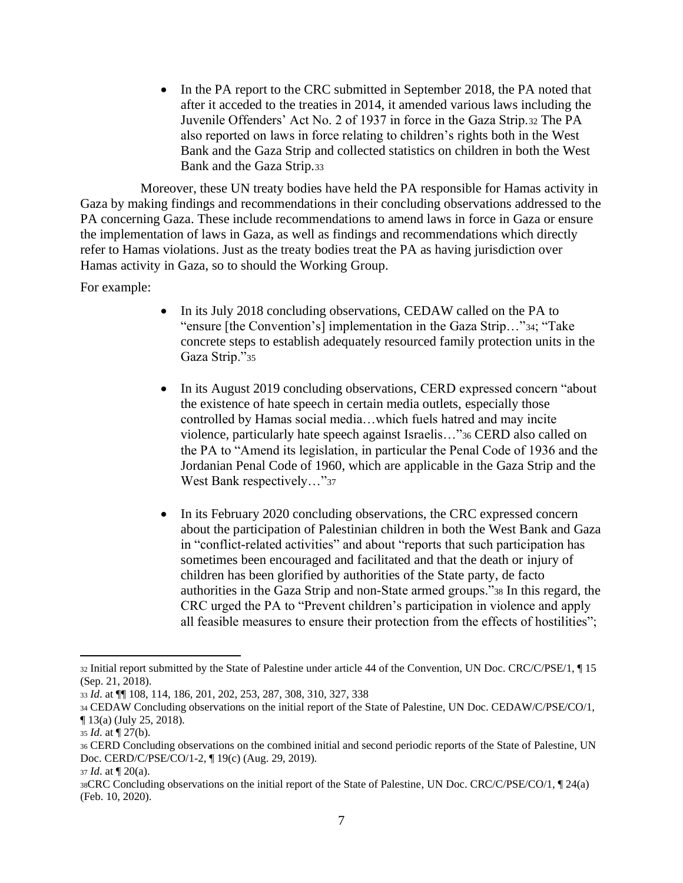• In the PA report to the CRC submitted in September 2018, the PA noted that after it acceded to the treaties in 2014, it amended various laws including the Juvenile Offenders' Act No. 2 of 1937 in force in the Gaza Strip.<sup>32</sup> The PA also reported on laws in force relating to children's rights both in the West Bank and the Gaza Strip and collected statistics on children in both the West Bank and the Gaza Strip.<sup>33</sup>

Moreover, these UN treaty bodies have held the PA responsible for Hamas activity in Gaza by making findings and recommendations in their concluding observations addressed to the PA concerning Gaza. These include recommendations to amend laws in force in Gaza or ensure the implementation of laws in Gaza, as well as findings and recommendations which directly refer to Hamas violations. Just as the treaty bodies treat the PA as having jurisdiction over Hamas activity in Gaza, so to should the Working Group.

For example:

- In its July 2018 concluding observations, CEDAW called on the PA to "ensure [the Convention's] implementation in the Gaza Strip…"34; "Take concrete steps to establish adequately resourced family protection units in the Gaza Strip."<sup>35</sup>
- In its August 2019 concluding observations, CERD expressed concern "about" the existence of hate speech in certain media outlets, especially those controlled by Hamas social media…which fuels hatred and may incite violence, particularly hate speech against Israelis…"<sup>36</sup> CERD also called on the PA to "Amend its legislation, in particular the Penal Code of 1936 and the Jordanian Penal Code of 1960, which are applicable in the Gaza Strip and the West Bank respectively..."37
- In its February 2020 concluding observations, the CRC expressed concern about the participation of Palestinian children in both the West Bank and Gaza in "conflict-related activities" and about "reports that such participation has sometimes been encouraged and facilitated and that the death or injury of children has been glorified by authorities of the State party, de facto authorities in the Gaza Strip and non-State armed groups."<sup>38</sup> In this regard, the CRC urged the PA to "Prevent children's participation in violence and apply all feasible measures to ensure their protection from the effects of hostilities";

<sup>32</sup> Initial report submitted by the State of Palestine under article 44 of the Convention, UN Doc. CRC/C/PSE/1, ¶ 15 (Sep. 21, 2018).

<sup>33</sup> *Id*. at ¶¶ 108, 114, 186, 201, 202, 253, 287, 308, 310, 327, 338

<sup>34</sup> CEDAW Concluding observations on the initial report of the State of Palestine, UN Doc. CEDAW/C/PSE/CO/1, ¶ 13(a) (July 25, 2018).

<sup>35</sup> *Id*. at ¶ 27(b).

<sup>36</sup> CERD Concluding observations on the combined initial and second periodic reports of the State of Palestine, UN Doc. CERD/C/PSE/CO/1-2, ¶ 19(c) (Aug. 29, 2019).

<sup>37</sup> *Id*. at ¶ 20(a).

<sup>38</sup>CRC Concluding observations on the initial report of the State of Palestine, UN Doc. CRC/C/PSE/CO/1, ¶ 24(a) (Feb. 10, 2020).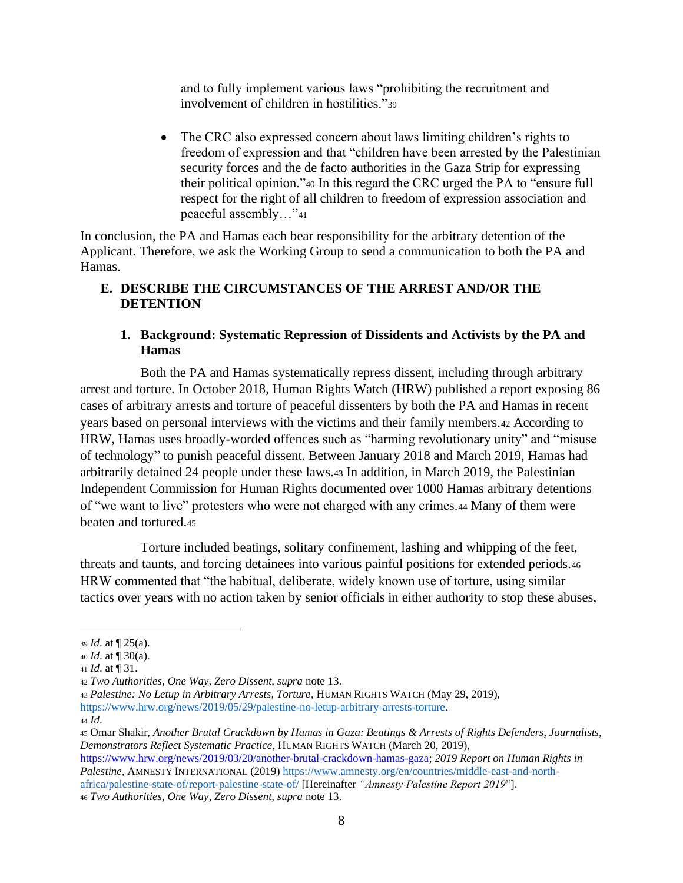and to fully implement various laws "prohibiting the recruitment and involvement of children in hostilities."<sup>39</sup>

• The CRC also expressed concern about laws limiting children's rights to freedom of expression and that "children have been arrested by the Palestinian security forces and the de facto authorities in the Gaza Strip for expressing their political opinion."<sup>40</sup> In this regard the CRC urged the PA to "ensure full respect for the right of all children to freedom of expression association and peaceful assembly…"<sup>41</sup>

In conclusion, the PA and Hamas each bear responsibility for the arbitrary detention of the Applicant. Therefore, we ask the Working Group to send a communication to both the PA and Hamas.

## **E. DESCRIBE THE CIRCUMSTANCES OF THE ARREST AND/OR THE DETENTION**

### **1. Background: Systematic Repression of Dissidents and Activists by the PA and Hamas**

Both the PA and Hamas systematically repress dissent, including through arbitrary arrest and torture. In October 2018, Human Rights Watch (HRW) published a report exposing 86 cases of arbitrary arrests and torture of peaceful dissenters by both the PA and Hamas in recent years based on personal interviews with the victims and their family members.<sup>42</sup> According to HRW, Hamas uses broadly-worded offences such as "harming revolutionary unity" and "misuse of technology" to punish peaceful dissent. Between January 2018 and March 2019, Hamas had arbitrarily detained 24 people under these laws.<sup>43</sup> In addition, in March 2019, the Palestinian Independent Commission for Human Rights documented over 1000 Hamas arbitrary detentions of "we want to live" protesters who were not charged with any crimes.<sup>44</sup> Many of them were beaten and tortured.<sup>45</sup>

Torture included beatings, solitary confinement, lashing and whipping of the feet, threats and taunts, and forcing detainees into various painful positions for extended periods.<sup>46</sup> HRW commented that "the habitual, deliberate, widely known use of torture, using similar tactics over years with no action taken by senior officials in either authority to stop these abuses,

*Palestine*, AMNESTY INTERNATIONAL (2019) [https://www.amnesty.org/en/countries/middle-east-and-north](https://www.amnesty.org/en/countries/middle-east-and-north-africa/palestine-state-of/report-palestine-state-of/)[africa/palestine-state-of/report-palestine-state-of/](https://www.amnesty.org/en/countries/middle-east-and-north-africa/palestine-state-of/report-palestine-state-of/) [Hereinafter *"Amnesty Palestine Report 2019*"].

<sup>39</sup> *Id*. at ¶ 25(a).

<sup>40</sup> *Id*. at ¶ 30(a).

<sup>41</sup> *Id*. at ¶ 31.

<sup>42</sup> *Two Authorities, One Way, Zero Dissent, supra* note 13.

<sup>43</sup> *Palestine: No Letup in Arbitrary Arrests, Torture*, HUMAN RIGHTS WATCH (May 29, 2019), [https://www.hrw.org/news/2019/05/29/palestine-no-letup-arbitrary-arrests-torture.](https://www.hrw.org/news/2019/05/29/palestine-no-letup-arbitrary-arrests-torture)

<sup>44</sup> *Id*.

<sup>45</sup> Omar Shakir, *Another Brutal Crackdown by Hamas in Gaza: Beatings & Arrests of Rights Defenders, Journalists, Demonstrators Reflect Systematic Practice*, HUMAN RIGHTS WATCH (March 20, 2019), [https://www.hrw.org/news/2019/03/20/another-brutal-crackdown-hamas-gaza;](https://www.hrw.org/news/2019/03/20/another-brutal-crackdown-hamas-gaza) *2019 Report on Human Rights in* 

<sup>46</sup> *Two Authorities, One Way, Zero Dissent, supra* note 13.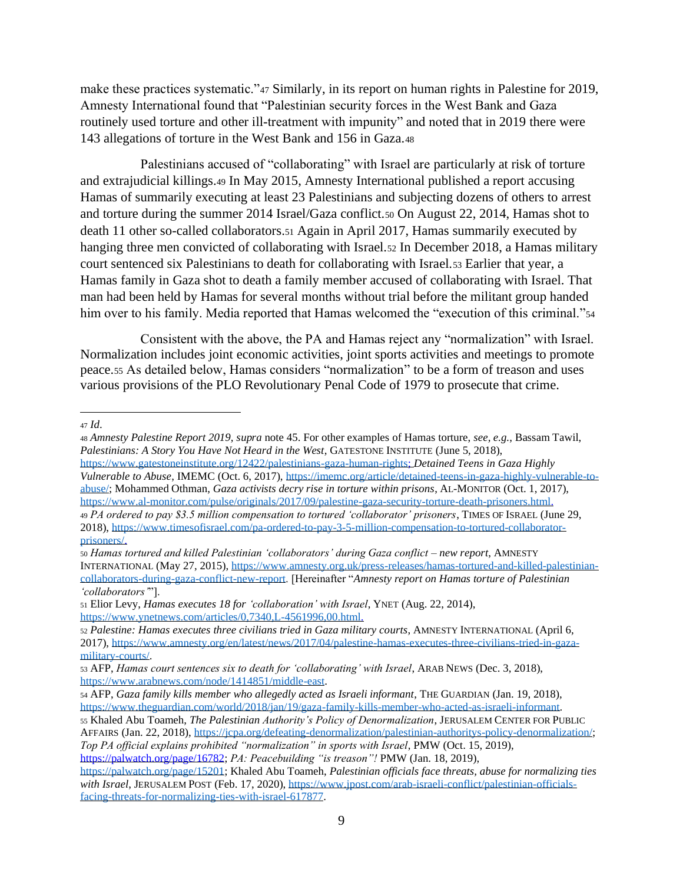make these practices systematic."<sup>47</sup> Similarly, in its report on human rights in Palestine for 2019, Amnesty International found that "Palestinian security forces in the West Bank and Gaza routinely used torture and other ill-treatment with impunity" and noted that in 2019 there were 143 allegations of torture in the West Bank and 156 in Gaza.<sup>48</sup>

Palestinians accused of "collaborating" with Israel are particularly at risk of torture and extrajudicial killings.<sup>49</sup> In May 2015, Amnesty International published a report accusing Hamas of summarily executing at least 23 Palestinians and subjecting dozens of others to arrest and torture during the summer 2014 Israel/Gaza conflict.<sup>50</sup> On August 22, 2014, Hamas shot to death 11 other so-called collaborators.<sup>51</sup> Again in April 2017, Hamas summarily executed by hanging three men convicted of collaborating with Israel.<sup>52</sup> In December 2018, a Hamas military court sentenced six Palestinians to death for collaborating with Israel.<sup>53</sup> Earlier that year, a Hamas family in Gaza shot to death a family member accused of collaborating with Israel. That man had been held by Hamas for several months without trial before the militant group handed him over to his family. Media reported that Hamas welcomed the "execution of this criminal."54

Consistent with the above, the PA and Hamas reject any "normalization" with Israel. Normalization includes joint economic activities, joint sports activities and meetings to promote peace.<sup>55</sup> As detailed below, Hamas considers "normalization" to be a form of treason and uses various provisions of the PLO Revolutionary Penal Code of 1979 to prosecute that crime.

<sup>47</sup> *Id*.

*Vulnerable to Abuse*, IMEMC (Oct. 6, 2017), [https://imemc.org/article/detained-teens-in-gaza-highly-vulnerable-to](https://imemc.org/article/detained-teens-in-gaza-highly-vulnerable-to-abuse/)[abuse/;](https://imemc.org/article/detained-teens-in-gaza-highly-vulnerable-to-abuse/) Mohammed Othman, *Gaza activists decry rise in torture within prisons*, AL-MONITOR (Oct. 1, 2017), [https://www.al-monitor.com/pulse/originals/2017/09/palestine-gaza-security-torture-death-prisoners.html.](https://www.al-monitor.com/pulse/originals/2017/09/palestine-gaza-security-torture-death-prisoners.html) <sup>49</sup> *PA ordered to pay \$3.5 million compensation to tortured 'collaborator' prisoners*, TIMES OF ISRAEL (June 29,

[https://palwatch.org/page/16782;](https://palwatch.org/page/16782) *PA: Peacebuilding "is treason"!* PMW (Jan. 18, 2019),

<sup>48</sup> *Amnesty Palestine Report 2019, supra* note 45. For other examples of Hamas torture, *see, e.g.*, Bassam Tawil, *Palestinians: A Story You Have Not Heard in the West*, GATESTONE INSTITUTE (June 5, 2018), [https://www.gatestoneinstitute.org/12422/palestinians-gaza-human-rights;](https://www.gatestoneinstitute.org/12422/palestinians-gaza-human-rights) *Detained Teens in Gaza Highly* 

<sup>2018),</sup> [https://www.timesofisrael.com/pa-ordered-to-pay-3-5-million-compensation-to-tortured-collaborator](https://www.timesofisrael.com/pa-ordered-to-pay-3-5-million-compensation-to-tortured-collaborator-prisoners/)[prisoners/.](https://www.timesofisrael.com/pa-ordered-to-pay-3-5-million-compensation-to-tortured-collaborator-prisoners/)

<sup>50</sup> *Hamas tortured and killed Palestinian 'collaborators' during Gaza conflict – new report*, AMNESTY INTERNATIONAL (May 27, 2015)[, https://www.amnesty.org.uk/press-releases/hamas-tortured-and-killed-palestinian](https://www.amnesty.org.uk/press-releases/hamas-tortured-and-killed-palestinian-collaborators-during-gaza-conflict-new-report)[collaborators-during-gaza-conflict-new-report.](https://www.amnesty.org.uk/press-releases/hamas-tortured-and-killed-palestinian-collaborators-during-gaza-conflict-new-report) [Hereinafter "*Amnesty report on Hamas torture of Palestinian 'collaborators'*"].

<sup>51</sup> Elior Levy, *Hamas executes 18 for 'collaboration' with Israel*, YNET (Aug. 22, 2014), [https://www.ynetnews.com/articles/0,7340,L-4561996,00.html.](https://www.ynetnews.com/articles/0,7340,L-4561996,00.html)

<sup>52</sup> *Palestine: Hamas executes three civilians tried in Gaza military courts*, AMNESTY INTERNATIONAL (April 6, 2017), [https://www.amnesty.org/en/latest/news/2017/04/palestine-hamas-executes-three-civilians-tried-in-gaza](https://www.amnesty.org/en/latest/news/2017/04/palestine-hamas-executes-three-civilians-tried-in-gaza-military-courts/)[military-courts/.](https://www.amnesty.org/en/latest/news/2017/04/palestine-hamas-executes-three-civilians-tried-in-gaza-military-courts/)

<sup>53</sup> AFP, *Hamas court sentences six to death for 'collaborating' with Israel*, ARAB NEWS (Dec. 3, 2018), [https://www.arabnews.com/node/1414851/middle-east.](https://www.arabnews.com/node/1414851/middle-east)

<sup>54</sup> AFP, *Gaza family kills member who allegedly acted as Israeli informant*, THE GUARDIAN (Jan. 19, 2018), [https://www.theguardian.com/world/2018/jan/19/gaza-family-kills-member-who-acted-as-israeli-informant.](https://www.theguardian.com/world/2018/jan/19/gaza-family-kills-member-who-acted-as-israeli-informant)

<sup>55</sup> Khaled Abu Toameh, *The Palestinian Authority's Policy of Denormalization*, JERUSALEM CENTER FOR PUBLIC AFFAIRS (Jan. 22, 2018), [https://jcpa.org/defeating-denormalization/palestinian-authoritys-policy-denormalization/;](https://jcpa.org/defeating-denormalization/palestinian-authoritys-policy-denormalization/) *Top PA official explains prohibited "normalization" in sports with Israel*, PMW (Oct. 15, 2019),

[https://palwatch.org/page/15201;](https://palwatch.org/page/15201) Khaled Abu Toameh, *Palestinian officials face threats, abuse for normalizing ties*  with Israel, JERUSALEM POST (Feb. 17, 2020), [https://www.jpost.com/arab-israeli-conflict/palestinian-officials](https://www.jpost.com/arab-israeli-conflict/palestinian-officials-facing-threats-for-normalizing-ties-with-israel-617877)[facing-threats-for-normalizing-ties-with-israel-617877.](https://www.jpost.com/arab-israeli-conflict/palestinian-officials-facing-threats-for-normalizing-ties-with-israel-617877)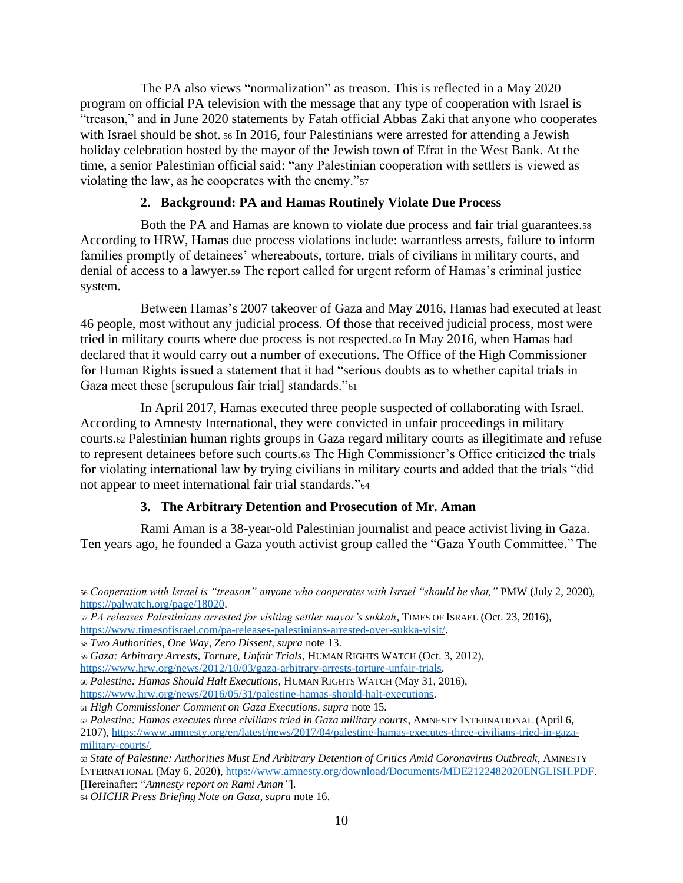The PA also views "normalization" as treason. This is reflected in a May 2020 program on official PA television with the message that any type of cooperation with Israel is "treason," and in June 2020 statements by Fatah official Abbas Zaki that anyone who cooperates with Israel should be shot. <sup>56</sup> In 2016, four Palestinians were arrested for attending a Jewish holiday celebration hosted by the mayor of the Jewish town of Efrat in the West Bank. At the time, a senior Palestinian official said: "any Palestinian cooperation with settlers is viewed as violating the law, as he cooperates with the enemy."<sup>57</sup>

#### **2. Background: PA and Hamas Routinely Violate Due Process**

Both the PA and Hamas are known to violate due process and fair trial guarantees.<sup>58</sup> According to HRW, Hamas due process violations include: warrantless arrests, failure to inform families promptly of detainees' whereabouts, torture, trials of civilians in military courts, and denial of access to a lawyer.<sup>59</sup> The report called for urgent reform of Hamas's criminal justice system.

Between Hamas's 2007 takeover of Gaza and May 2016, Hamas had executed at least 46 people, most without any judicial process. Of those that received judicial process, most were tried in military courts where due process is not respected.<sup>60</sup> In May 2016, when Hamas had declared that it would carry out a number of executions. The Office of the High Commissioner for Human Rights issued a statement that it had "serious doubts as to whether capital trials in Gaza meet these [scrupulous fair trial] standards."<sup>61</sup>

In April 2017, Hamas executed three people suspected of collaborating with Israel. According to Amnesty International, they were convicted in unfair proceedings in military courts.<sup>62</sup> Palestinian human rights groups in Gaza regard military courts as illegitimate and refuse to represent detainees before such courts.<sup>63</sup> The High Commissioner's Office criticized the trials for violating international law by trying civilians in military courts and added that the trials "did not appear to meet international fair trial standards."<sup>64</sup>

#### **3. The Arbitrary Detention and Prosecution of Mr. Aman**

Rami Aman is a 38-year-old Palestinian journalist and peace activist living in Gaza. Ten years ago, he founded a Gaza youth activist group called the "Gaza Youth Committee." The

<sup>56</sup> *Cooperation with Israel is "treason" anyone who cooperates with Israel "should be shot,"* PMW (July 2, 2020), [https://palwatch.org/page/18020.](https://palwatch.org/page/18020)

<sup>57</sup> *PA releases Palestinians arrested for visiting settler mayor's sukkah*, TIMES OF ISRAEL (Oct. 23, 2016), [https://www.timesofisrael.com/pa-releases-palestinians-arrested-over-sukka-visit/.](https://www.timesofisrael.com/pa-releases-palestinians-arrested-over-sukka-visit/)

<sup>58</sup> *Two Authorities, One Way, Zero Dissent, supra* note 13.

<sup>59</sup> *Gaza: Arbitrary Arrests, Torture, Unfair Trials*, HUMAN RIGHTS WATCH (Oct. 3, 2012),

[https://www.hrw.org/news/2012/10/03/gaza-arbitrary-arrests-torture-unfair-trials.](https://www.hrw.org/news/2012/10/03/gaza-arbitrary-arrests-torture-unfair-trials)

<sup>60</sup> *Palestine: Hamas Should Halt Executions*, HUMAN RIGHTS WATCH (May 31, 2016),

[https://www.hrw.org/news/2016/05/31/palestine-hamas-should-halt-executions.](https://www.hrw.org/news/2016/05/31/palestine-hamas-should-halt-executions)

<sup>61</sup> *High Commissioner Comment on Gaza Executions, supra* note 15*.*

<sup>62</sup> *Palestine: Hamas executes three civilians tried in Gaza military courts*, AMNESTY INTERNATIONAL (April 6, 2107), [https://www.amnesty.org/en/latest/news/2017/04/palestine-hamas-executes-three-civilians-tried-in-gaza](https://www.amnesty.org/en/latest/news/2017/04/palestine-hamas-executes-three-civilians-tried-in-gaza-military-courts/)[military-courts/.](https://www.amnesty.org/en/latest/news/2017/04/palestine-hamas-executes-three-civilians-tried-in-gaza-military-courts/)

<sup>63</sup> *State of Palestine: Authorities Must End Arbitrary Detention of Critics Amid Coronavirus Outbreak*, AMNESTY INTERNATIONAL (May 6, 2020)[, https://www.amnesty.org/download/Documents/MDE2122482020ENGLISH.PDF.](https://www.amnesty.org/download/Documents/MDE2122482020ENGLISH.PDF) [Hereinafter: "*Amnesty report on Rami Aman"*].

<sup>64</sup> *OHCHR Press Briefing Note on Gaza, supra* note 16.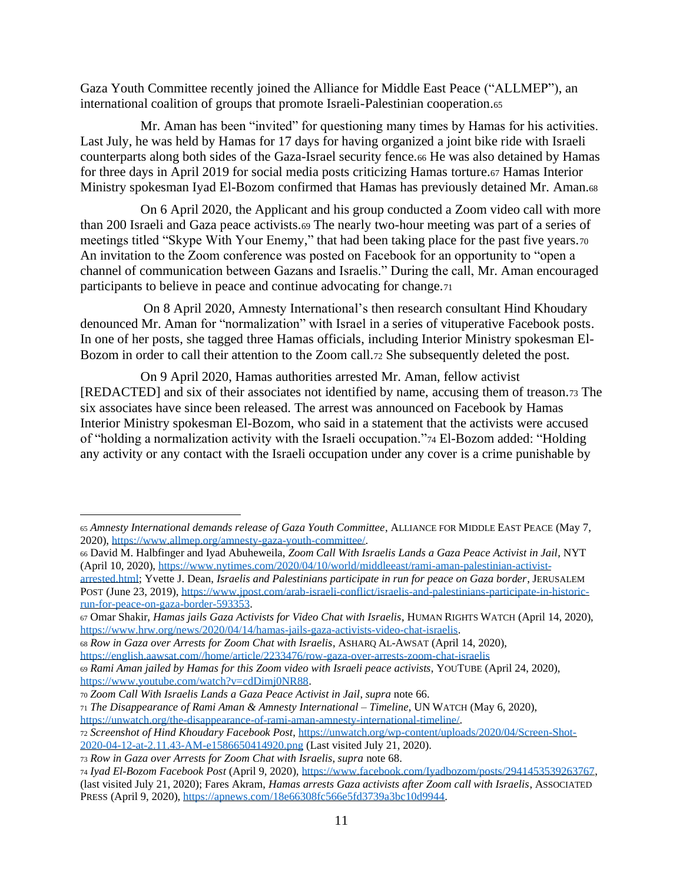Gaza Youth Committee recently joined the Alliance for Middle East Peace ("ALLMEP"), an international coalition of groups that promote Israeli-Palestinian cooperation.<sup>65</sup>

Mr. Aman has been "invited" for questioning many times by Hamas for his activities. Last July, he was held by Hamas for 17 days for having organized a joint bike ride with Israeli counterparts along both sides of the Gaza-Israel security fence.<sup>66</sup> He was also detained by Hamas for three days in April 2019 for social media posts criticizing Hamas torture.<sup>67</sup> Hamas Interior Ministry spokesman Iyad El-Bozom confirmed that Hamas has previously detained Mr. Aman.<sup>68</sup>

On 6 April 2020, the Applicant and his group conducted a Zoom video call with more than 200 Israeli and Gaza peace activists.<sup>69</sup> The nearly two-hour meeting was part of a series of meetings titled "Skype With Your Enemy," that had been taking place for the past five years.<sup>70</sup> An invitation to the Zoom conference was posted on Facebook for an opportunity to "open a channel of communication between Gazans and Israelis." During the call, Mr. Aman encouraged participants to believe in peace and continue advocating for change.<sup>71</sup>

On 8 April 2020, Amnesty International's then research consultant Hind Khoudary denounced Mr. Aman for "normalization" with Israel in a series of vituperative Facebook posts. In one of her posts, she tagged three Hamas officials, including Interior Ministry spokesman El-Bozom in order to call their attention to the Zoom call.<sup>72</sup> She subsequently deleted the post.

On 9 April 2020, Hamas authorities arrested Mr. Aman, fellow activist [REDACTED] and six of their associates not identified by name, accusing them of treason.<sup>73</sup> The six associates have since been released. The arrest was announced on Facebook by Hamas Interior Ministry spokesman El-Bozom, who said in a statement that the activists were accused of "holding a normalization activity with the Israeli occupation."<sup>74</sup> El-Bozom added: "Holding any activity or any contact with the Israeli occupation under any cover is a crime punishable by

<sup>66</sup> David M. Halbfinger and Iyad Abuheweila, *Zoom Call With Israelis Lands a Gaza Peace Activist in Jail*, NYT (April 10, 2020), [https://www.nytimes.com/2020/04/10/world/middleeast/rami-aman-palestinian-activist-](https://www.nytimes.com/2020/04/10/world/middleeast/rami-aman-palestinian-activist-arrested.html)

<sup>65</sup> *Amnesty International demands release of Gaza Youth Committee*, ALLIANCE FOR MIDDLE EAST PEACE (May 7, 2020), [https://www.allmep.org/amnesty-gaza-youth-committee/.](https://www.allmep.org/amnesty-gaza-youth-committee/)

[arrested.html;](https://www.nytimes.com/2020/04/10/world/middleeast/rami-aman-palestinian-activist-arrested.html) Yvette J. Dean, *Israelis and Palestinians participate in run for peace on Gaza border*, JERUSALEM POST (June 23, 2019)[, https://www.jpost.com/arab-israeli-conflict/israelis-and-palestinians-participate-in-historic](https://www.jpost.com/arab-israeli-conflict/israelis-and-palestinians-participate-in-historic-run-for-peace-on-gaza-border-593353)[run-for-peace-on-gaza-border-593353.](https://www.jpost.com/arab-israeli-conflict/israelis-and-palestinians-participate-in-historic-run-for-peace-on-gaza-border-593353)

<sup>67</sup> Omar Shakir, *Hamas jails Gaza Activists for Video Chat with Israelis*, HUMAN RIGHTS WATCH (April 14, 2020), [https://www.hrw.org/news/2020/04/14/hamas-jails-gaza-activists-video-chat-israelis.](https://www.hrw.org/news/2020/04/14/hamas-jails-gaza-activists-video-chat-israelis)

<sup>68</sup> *Row in Gaza over Arrests for Zoom Chat with Israelis*, ASHARQ AL-AWSAT (April 14, 2020), [https://english.aawsat.com//home/article/2233476/row-gaza-over-arrests-zoom-chat-israelis](https://english.aawsat.com/home/article/2233476/row-gaza-over-arrests-zoom-chat-israelis)

<sup>69</sup> *Rami Aman jailed by Hamas for this Zoom video with Israeli peace activists*, YOUTUBE (April 24, 2020), [https://www.youtube.com/watch?v=cdDimj0NR88.](https://www.youtube.com/watch?v=cdDimj0NR88)

<sup>70</sup> *Zoom Call With Israelis Lands a Gaza Peace Activist in Jail*, *supra* note 66.

<sup>71</sup> *The Disappearance of Rami Aman & Amnesty International – Timeline*, UN WATCH (May 6, 2020),

[https://unwatch.org/the-disappearance-of-rami-aman-amnesty-international-timeline/.](https://unwatch.org/the-disappearance-of-rami-aman-amnesty-international-timeline/)

<sup>72</sup> *Screenshot of Hind Khoudary Facebook Post*[, https://unwatch.org/wp-content/uploads/2020/04/Screen-Shot-](https://unwatch.org/wp-content/uploads/2020/04/Screen-Shot-2020-04-12-at-2.11.43-AM-e1586650414920.png)[2020-04-12-at-2.11.43-AM-e1586650414920.png](https://unwatch.org/wp-content/uploads/2020/04/Screen-Shot-2020-04-12-at-2.11.43-AM-e1586650414920.png) (Last visited July 21, 2020).

<sup>73</sup> *Row in Gaza over Arrests for Zoom Chat with Israelis, supra* note 68.

<sup>74</sup> *Iyad El-Bozom Facebook Post* (April 9, 2020)[, https://www.facebook.com/Iyadbozom/posts/2941453539263767,](https://www.facebook.com/Iyadbozom/posts/2941453539263767) (last visited July 21, 2020); Fares Akram, *Hamas arrests Gaza activists after Zoom call with Israelis*, ASSOCIATED PRESS (April 9, 2020), [https://apnews.com/18e66308fc566e5fd3739a3bc10d9944.](https://apnews.com/18e66308fc566e5fd3739a3bc10d9944)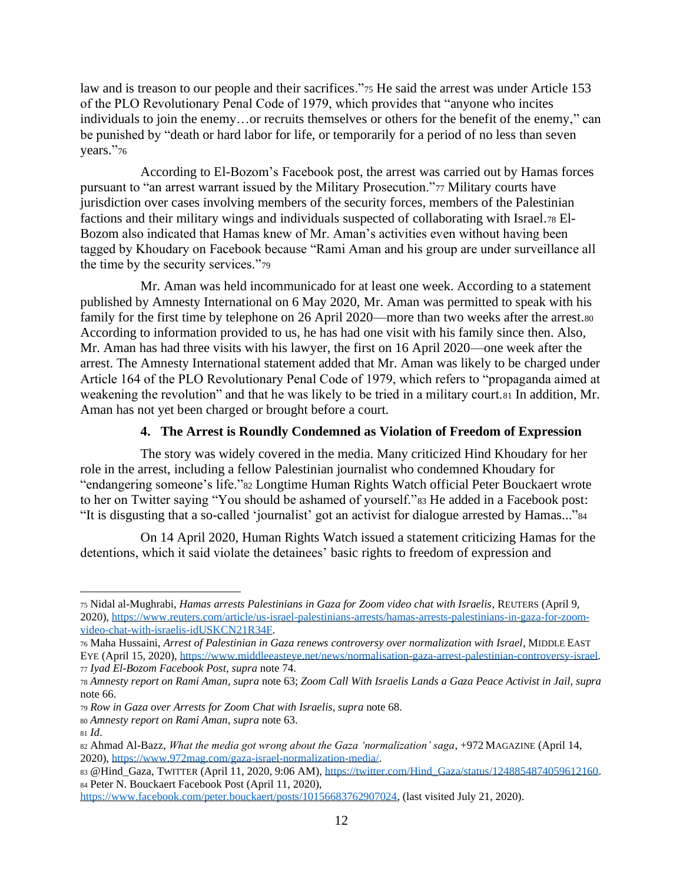law and is treason to our people and their sacrifices."<sup>75</sup> He said the arrest was under Article 153 of the PLO Revolutionary Penal Code of 1979, which provides that "anyone who incites individuals to join the enemy…or recruits themselves or others for the benefit of the enemy," can be punished by "death or hard labor for life, or temporarily for a period of no less than seven years."76

According to El-Bozom's Facebook post, the arrest was carried out by Hamas forces pursuant to "an arrest warrant issued by the Military Prosecution."<sup>77</sup> Military courts have jurisdiction over cases involving members of the security forces, members of the Palestinian factions and their military wings and individuals suspected of collaborating with Israel.<sup>78</sup> El-Bozom also indicated that Hamas knew of Mr. Aman's activities even without having been tagged by Khoudary on Facebook because "Rami Aman and his group are under surveillance all the time by the security services."<sup>79</sup>

Mr. Aman was held incommunicado for at least one week. According to a statement published by Amnesty International on 6 May 2020, Mr. Aman was permitted to speak with his family for the first time by telephone on 26 April 2020—more than two weeks after the arrest.<sup>80</sup> According to information provided to us, he has had one visit with his family since then. Also, Mr. Aman has had three visits with his lawyer, the first on 16 April 2020—one week after the arrest. The Amnesty International statement added that Mr. Aman was likely to be charged under Article 164 of the PLO Revolutionary Penal Code of 1979, which refers to "propaganda aimed at weakening the revolution" and that he was likely to be tried in a military court.81 In addition, Mr. Aman has not yet been charged or brought before a court.

#### **4. The Arrest is Roundly Condemned as Violation of Freedom of Expression**

The story was widely covered in the media. Many criticized Hind Khoudary for her role in the arrest, including a fellow Palestinian journalist who condemned Khoudary for "endangering someone's life."<sup>82</sup> Longtime Human Rights Watch official Peter Bouckaert wrote to her on Twitter saying "You should be ashamed of yourself."<sup>83</sup> He added in a Facebook post: "It is disgusting that a so-called 'journalist' got an activist for dialogue arrested by Hamas..."<sup>84</sup>

On 14 April 2020, Human Rights Watch issued a statement criticizing Hamas for the detentions, which it said violate the detainees' basic rights to freedom of expression and

<sup>75</sup> Nidal al-Mughrabi, *Hamas arrests Palestinians in Gaza for Zoom video chat with Israelis*, REUTERS (April 9, 2020), [https://www.reuters.com/article/us-israel-palestinians-arrests/hamas-arrests-palestinians-in-gaza-for-zoom](https://www.reuters.com/article/us-israel-palestinians-arrests/hamas-arrests-palestinians-in-gaza-for-zoom-video-chat-with-israelis-idUSKCN21R34F)[video-chat-with-israelis-idUSKCN21R34F.](https://www.reuters.com/article/us-israel-palestinians-arrests/hamas-arrests-palestinians-in-gaza-for-zoom-video-chat-with-israelis-idUSKCN21R34F)

<sup>76</sup> Maha Hussaini, *Arrest of Palestinian in Gaza renews controversy over normalization with Israel*, MIDDLE EAST EYE (April 15, 2020), [https://www.middleeasteye.net/news/normalisation-gaza-arrest-palestinian-controversy-israel.](https://www.middleeasteye.net/news/normalisation-gaza-arrest-palestinian-controversy-israel) <sup>77</sup> *Iyad El-Bozom Facebook Post*, *supra* note 74.

<sup>78</sup> *Amnesty report on Rami Aman, supra* note 63; *Zoom Call With Israelis Lands a Gaza Peace Activist in Jail, supra*  note 66.

<sup>79</sup> *Row in Gaza over Arrests for Zoom Chat with Israelis, supra* note 68.

<sup>80</sup> *Amnesty report on Rami Aman, supra* note 63.

<sup>81</sup> *Id*.

<sup>82</sup> Ahmad Al-Bazz, *What the media got wrong about the Gaza 'normalization' saga*, +972 MAGAZINE (April 14, 2020), [https://www.972mag.com/gaza-israel-normalization-media/.](https://www.972mag.com/gaza-israel-normalization-media/)

<sup>83</sup> @Hind\_Gaza, TWITTER (April 11, 2020, 9:06 AM), [https://twitter.com/Hind\\_Gaza/status/1248854874059612160.](https://twitter.com/Hind_Gaza/status/1248854874059612160) <sup>84</sup> Peter N. Bouckaert Facebook Post (April 11, 2020),

[https://www.facebook.com/peter.bouckaert/posts/10156683762907024,](https://www.facebook.com/peter.bouckaert/posts/10156683762907024) (last visited July 21, 2020).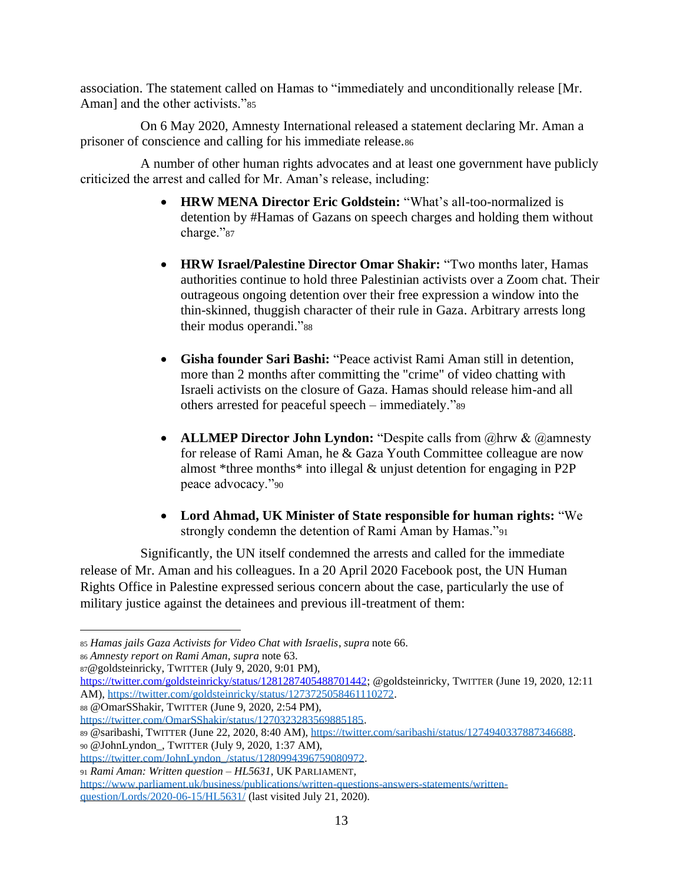association. The statement called on Hamas to "immediately and unconditionally release [Mr. Aman] and the other activists."<sup>85</sup>

On 6 May 2020, Amnesty International released a statement declaring Mr. Aman a prisoner of conscience and calling for his immediate release.<sup>86</sup>

A number of other human rights advocates and at least one government have publicly criticized the arrest and called for Mr. Aman's release, including:

- **HRW MENA Director Eric Goldstein:** "What's all-too-normalized is detention by #Hamas of Gazans on speech charges and holding them without charge."87
- **HRW Israel/Palestine Director Omar Shakir:** "Two months later, Hamas authorities continue to hold three Palestinian activists over a Zoom chat. Their outrageous ongoing detention over their free expression a window into the thin-skinned, thuggish character of their rule in Gaza. Arbitrary arrests long their modus operandi."<sup>88</sup>
- **Gisha founder Sari Bashi:** "Peace activist Rami Aman still in detention, more than 2 months after committing the "crime" of video chatting with Israeli activists on the closure of Gaza. Hamas should release him-and all others arrested for peaceful speech – immediately."<sup>89</sup>
- **ALLMEP Director John Lyndon:** "Despite calls from  $@$ hrw &  $@$ amnesty for release of Rami Aman, he & Gaza Youth Committee colleague are now almost \*three months\* into illegal & unjust detention for engaging in P2P peace advocacy."<sup>90</sup>
- **Lord Ahmad, UK Minister of State responsible for human rights:** "We strongly condemn the detention of Rami Aman by Hamas."<sup>91</sup>

Significantly, the UN itself condemned the arrests and called for the immediate release of Mr. Aman and his colleagues. In a 20 April 2020 Facebook post, the UN Human Rights Office in Palestine expressed serious concern about the case, particularly the use of military justice against the detainees and previous ill-treatment of them:

<sup>85</sup> *Hamas jails Gaza Activists for Video Chat with Israelis*, *supra* note 66.

<sup>86</sup> *Amnesty report on Rami Aman, supra* note 63.

<sup>87</sup>@goldsteinricky, TWITTER (July 9, 2020, 9:01 PM),

[https://twitter.com/goldsteinricky/status/1281287405488701442;](https://twitter.com/goldsteinricky/status/1281287405488701442) @goldsteinricky, TWITTER (June 19, 2020, 12:11 AM)[, https://twitter.com/goldsteinricky/status/1273725058461110272.](https://twitter.com/goldsteinricky/status/1273725058461110272)

<sup>88</sup> @OmarSShakir, TWITTER (June 9, 2020, 2:54 PM),

[https://twitter.com/OmarSShakir/status/1270323283569885185.](https://twitter.com/OmarSShakir/status/1270323283569885185)

<sup>89</sup> @saribashi, TWITTER (June 22, 2020, 8:40 AM)[, https://twitter.com/saribashi/status/1274940337887346688.](https://twitter.com/saribashi/status/1274940337887346688)

<sup>90</sup> @JohnLyndon\_, TWITTER (July 9, 2020, 1:37 AM),

[https://twitter.com/JohnLyndon\\_/status/1280994396759080972.](https://twitter.com/JohnLyndon_/status/1280994396759080972)

<sup>91</sup> *Rami Aman: Written question – HL5631*, UK PARLIAMENT, [https://www.parliament.uk/business/publications/written-questions-answers-statements/written](https://www.parliament.uk/business/publications/written-questions-answers-statements/written-question/Lords/2020-06-15/HL5631/)[question/Lords/2020-06-15/HL5631/](https://www.parliament.uk/business/publications/written-questions-answers-statements/written-question/Lords/2020-06-15/HL5631/) (last visited July 21, 2020).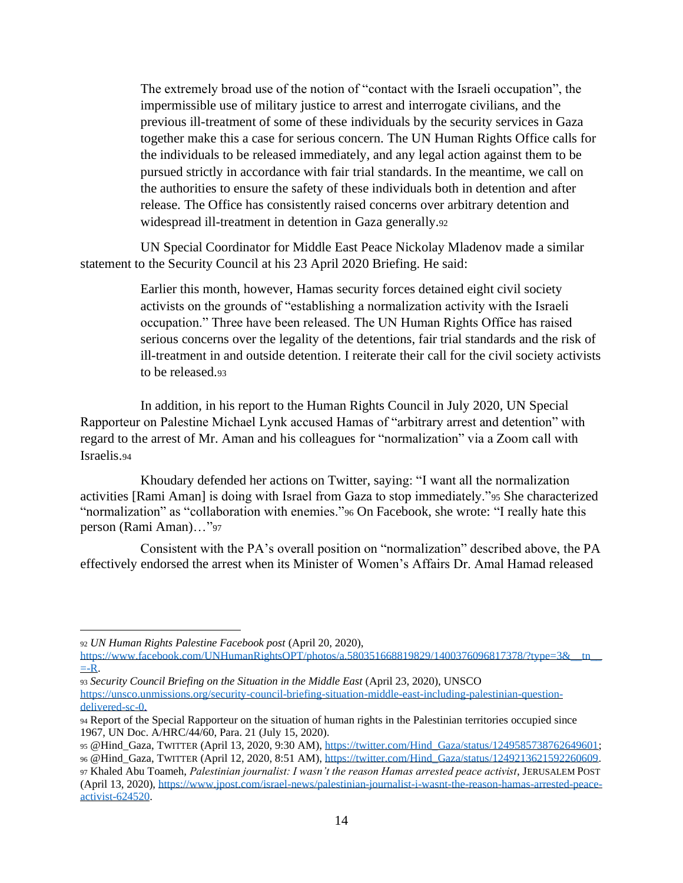The extremely broad use of the notion of "contact with the Israeli occupation", the impermissible use of military justice to arrest and interrogate civilians, and the previous ill-treatment of some of these individuals by the security services in Gaza together make this a case for serious concern. The UN Human Rights Office calls for the individuals to be released immediately, and any legal action against them to be pursued strictly in accordance with fair trial standards. In the meantime, we call on the authorities to ensure the safety of these individuals both in detention and after release. The Office has consistently raised concerns over arbitrary detention and widespread ill-treatment in detention in Gaza generally.<sup>92</sup>

UN Special Coordinator for Middle East Peace Nickolay Mladenov made a similar statement to the Security Council at his 23 April 2020 Briefing. He said:

> Earlier this month, however, Hamas security forces detained eight civil society activists on the grounds of "establishing a normalization activity with the Israeli occupation." Three have been released. The UN Human Rights Office has raised serious concerns over the legality of the detentions, fair trial standards and the risk of ill-treatment in and outside detention. I reiterate their call for the civil society activists to be released.<sup>93</sup>

In addition, in his report to the Human Rights Council in July 2020, UN Special Rapporteur on Palestine Michael Lynk accused Hamas of "arbitrary arrest and detention" with regard to the arrest of Mr. Aman and his colleagues for "normalization" via a Zoom call with Israelis.<sup>94</sup>

Khoudary defended her actions on Twitter, saying: "I want all the normalization activities [Rami Aman] is doing with Israel from Gaza to stop immediately."<sup>95</sup> She characterized "normalization" as "collaboration with enemies."<sup>96</sup> On Facebook, she wrote: "I really hate this person (Rami Aman)…"<sup>97</sup>

Consistent with the PA's overall position on "normalization" described above, the PA effectively endorsed the arrest when its Minister of Women's Affairs Dr. Amal Hamad released

<sup>92</sup> *UN Human Rights Palestine Facebook post* (April 20, 2020),

https://www.facebook.com/UNHumanRightsOPT/photos/a.580351668819829/1400376096817378/?type=3&\_\_tn\_  $= -R$ .

<sup>93</sup> *Security Council Briefing on the Situation in the Middle East* (April 23, 2020), UNSCO [https://unsco.unmissions.org/security-council-briefing-situation-middle-east-including-palestinian-question](https://unsco.unmissions.org/security-council-briefing-situation-middle-east-including-palestinian-question-delivered-sc-0)[delivered-sc-0.](https://unsco.unmissions.org/security-council-briefing-situation-middle-east-including-palestinian-question-delivered-sc-0)

<sup>94</sup> Report of the Special Rapporteur on the situation of human rights in the Palestinian territories occupied since 1967, UN Doc. A/HRC/44/60, Para. 21 (July 15, 2020).

<sup>95</sup> @Hind\_Gaza, TWITTER (April 13, 2020, 9:30 AM), [https://twitter.com/Hind\\_Gaza/status/1249585738762649601;](https://twitter.com/Hind_Gaza/status/1249585738762649601) <sup>96</sup> @Hind\_Gaza, TWITTER (April 12, 2020, 8:51 AM), [https://twitter.com/Hind\\_Gaza/status/1249213621592260609.](https://twitter.com/Hind_Gaza/status/1249213621592260609)

<sup>97</sup> Khaled Abu Toameh, *Palestinian journalist: I wasn't the reason Hamas arrested peace activist*, JERUSALEM POST (April 13, 2020), [https://www.jpost.com/israel-news/palestinian-journalist-i-wasnt-the-reason-hamas-arrested-peace](https://www.jpost.com/israel-news/palestinian-journalist-i-wasnt-the-reason-hamas-arrested-peace-activist-624520)[activist-624520.](https://www.jpost.com/israel-news/palestinian-journalist-i-wasnt-the-reason-hamas-arrested-peace-activist-624520)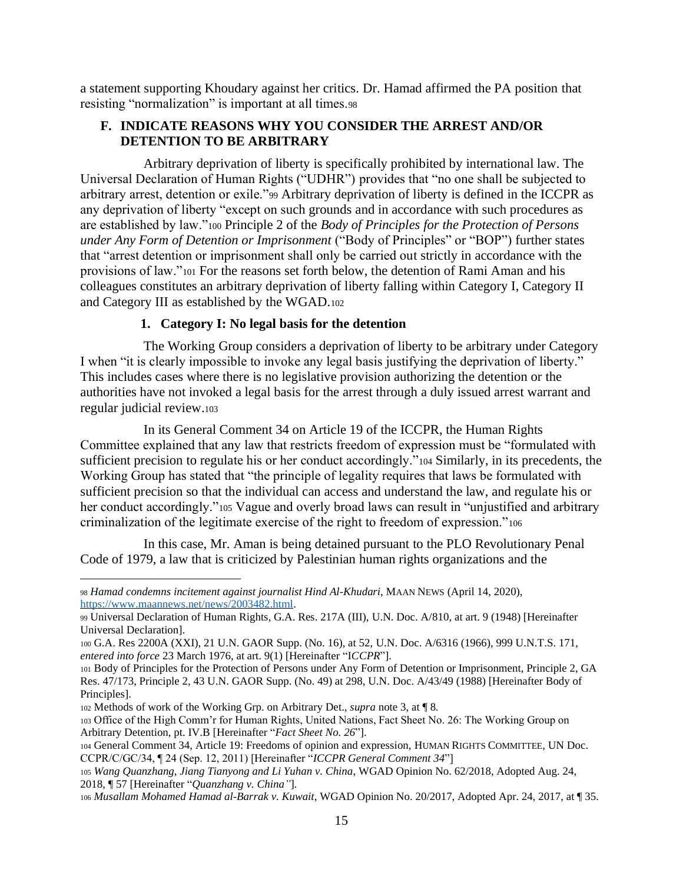a statement supporting Khoudary against her critics. Dr. Hamad affirmed the PA position that resisting "normalization" is important at all times.<sup>98</sup>

#### **F. INDICATE REASONS WHY YOU CONSIDER THE ARREST AND/OR DETENTION TO BE ARBITRARY**

Arbitrary deprivation of liberty is specifically prohibited by international law. The Universal Declaration of Human Rights ("UDHR") provides that "no one shall be subjected to arbitrary arrest, detention or exile."<sup>99</sup> Arbitrary deprivation of liberty is defined in the ICCPR as any deprivation of liberty "except on such grounds and in accordance with such procedures as are established by law."<sup>100</sup> Principle 2 of the *Body of Principles for the Protection of Persons under Any Form of Detention or Imprisonment* ("Body of Principles" or "BOP") further states that "arrest detention or imprisonment shall only be carried out strictly in accordance with the provisions of law."<sup>101</sup> For the reasons set forth below, the detention of Rami Aman and his colleagues constitutes an arbitrary deprivation of liberty falling within Category I, Category II and Category III as established by the WGAD.<sup>102</sup>

#### **1. Category I: No legal basis for the detention**

The Working Group considers a deprivation of liberty to be arbitrary under Category I when "it is clearly impossible to invoke any legal basis justifying the deprivation of liberty." This includes cases where there is no legislative provision authorizing the detention or the authorities have not invoked a legal basis for the arrest through a duly issued arrest warrant and regular judicial review.<sup>103</sup>

In its General Comment 34 on Article 19 of the ICCPR, the Human Rights Committee explained that any law that restricts freedom of expression must be "formulated with sufficient precision to regulate his or her conduct accordingly."<sup>104</sup> Similarly, in its precedents, the Working Group has stated that "the principle of legality requires that laws be formulated with sufficient precision so that the individual can access and understand the law, and regulate his or her conduct accordingly."105 Vague and overly broad laws can result in "unjustified and arbitrary criminalization of the legitimate exercise of the right to freedom of expression."<sup>106</sup>

In this case, Mr. Aman is being detained pursuant to the PLO Revolutionary Penal Code of 1979, a law that is criticized by Palestinian human rights organizations and the

<sup>98</sup> *Hamad condemns incitement against journalist Hind Al-Khudari*, MAAN NEWS (April 14, 2020), [https://www.maannews.net/news/2003482.html.](https://www.maannews.net/news/2003482.html)

<sup>99</sup> Universal Declaration of Human Rights, G.A. Res. 217A (III), U.N. Doc. A/810, at art. 9 (1948) [Hereinafter Universal Declaration].

<sup>100</sup> G.A. Res 2200A (XXI), 21 U.N. GAOR Supp. (No. 16), at 52, U.N. Doc. A/6316 (1966), 999 U.N.T.S. 171, *entered into force* 23 March 1976, at art. 9(1) [Hereinafter "I*CCPR*"].

<sup>101</sup> Body of Principles for the Protection of Persons under Any Form of Detention or Imprisonment, Principle 2, GA Res. 47/173, Principle 2, 43 U.N. GAOR Supp. (No. 49) at 298, U.N. Doc. A/43/49 (1988) [Hereinafter Body of Principles].

<sup>102</sup> Methods of work of the Working Grp. on Arbitrary Det., *supra* note 3, at ¶ 8*.*

<sup>103</sup> Office of the High Comm'r for Human Rights, United Nations, Fact Sheet No. 26: The Working Group on Arbitrary Detention, pt. IV.B [Hereinafter "*Fact Sheet No. 26*"].

<sup>104</sup> General Comment 34, Article 19: Freedoms of opinion and expression, HUMAN RIGHTS COMMITTEE, UN Doc. CCPR/C/GC/34, ¶ 24 (Sep. 12, 2011) [Hereinafter "*ICCPR General Comment 34*"]

<sup>105</sup> *Wang Quanzhang, Jiang Tianyong and Li Yuhan v. China*, WGAD Opinion No. 62/2018, Adopted Aug. 24, 2018, ¶ 57 [Hereinafter "*Quanzhang v. China"*].

<sup>106</sup> *Musallam Mohamed Hamad al-Barrak v. Kuwait*, WGAD Opinion No. 20/2017, Adopted Apr. 24, 2017, at ¶ 35.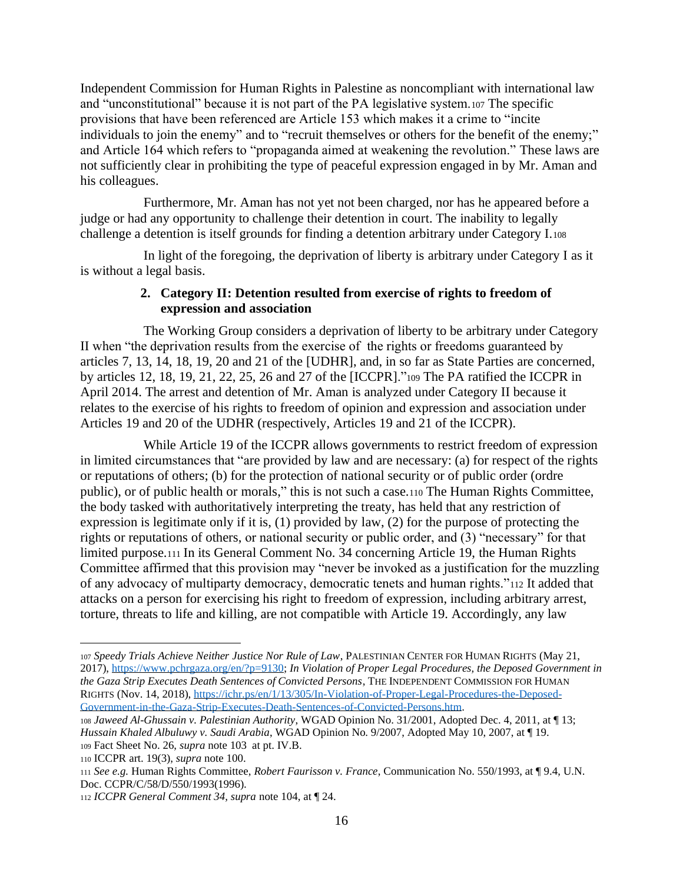Independent Commission for Human Rights in Palestine as noncompliant with international law and "unconstitutional" because it is not part of the PA legislative system.<sup>107</sup> The specific provisions that have been referenced are Article 153 which makes it a crime to "incite individuals to join the enemy" and to "recruit themselves or others for the benefit of the enemy;" and Article 164 which refers to "propaganda aimed at weakening the revolution." These laws are not sufficiently clear in prohibiting the type of peaceful expression engaged in by Mr. Aman and his colleagues.

Furthermore, Mr. Aman has not yet not been charged, nor has he appeared before a judge or had any opportunity to challenge their detention in court. The inability to legally challenge a detention is itself grounds for finding a detention arbitrary under Category I.<sup>108</sup>

In light of the foregoing, the deprivation of liberty is arbitrary under Category I as it is without a legal basis.

#### **2. Category II: Detention resulted from exercise of rights to freedom of expression and association**

The Working Group considers a deprivation of liberty to be arbitrary under Category II when "the deprivation results from the exercise of the rights or freedoms guaranteed by articles 7, 13, 14, 18, 19, 20 and 21 of the [UDHR], and, in so far as State Parties are concerned, by articles 12, 18, 19, 21, 22, 25, 26 and 27 of the [ICCPR]."<sup>109</sup> The PA ratified the ICCPR in April 2014. The arrest and detention of Mr. Aman is analyzed under Category II because it relates to the exercise of his rights to freedom of opinion and expression and association under Articles 19 and 20 of the UDHR (respectively, Articles 19 and 21 of the ICCPR).

While Article 19 of the ICCPR allows governments to restrict freedom of expression in limited circumstances that "are provided by law and are necessary: (a) for respect of the rights or reputations of others; (b) for the protection of national security or of public order (ordre public), or of public health or morals," this is not such a case.<sup>110</sup> The Human Rights Committee, the body tasked with authoritatively interpreting the treaty, has held that any restriction of expression is legitimate only if it is, (1) provided by law, (2) for the purpose of protecting the rights or reputations of others, or national security or public order, and (3) "necessary" for that limited purpose.<sup>111</sup> In its General Comment No. 34 concerning Article 19, the Human Rights Committee affirmed that this provision may "never be invoked as a justification for the muzzling of any advocacy of multiparty democracy, democratic tenets and human rights."<sup>112</sup> It added that attacks on a person for exercising his right to freedom of expression, including arbitrary arrest, torture, threats to life and killing, are not compatible with Article 19. Accordingly, any law

<sup>107</sup> *Speedy Trials Achieve Neither Justice Nor Rule of Law*, PALESTINIAN CENTER FOR HUMAN RIGHTS (May 21, 2017), [https://www.pchrgaza.org/en/?p=9130;](https://www.pchrgaza.org/en/?p=9130) *In Violation of Proper Legal Procedures, the Deposed Government in the Gaza Strip Executes Death Sentences of Convicted Persons*, THE INDEPENDENT COMMISSION FOR HUMAN RIGHTS (Nov. 14, 2018)[, https://ichr.ps/en/1/13/305/In-Violation-of-Proper-Legal-Procedures-the-Deposed-](https://ichr.ps/en/1/13/305/In-Violation-of-Proper-Legal-Procedures-the-Deposed-Government-in-the-Gaza-Strip-Executes-Death-Sentences-of-Convicted-Persons.htm)[Government-in-the-Gaza-Strip-Executes-Death-Sentences-of-Convicted-Persons.htm.](https://ichr.ps/en/1/13/305/In-Violation-of-Proper-Legal-Procedures-the-Deposed-Government-in-the-Gaza-Strip-Executes-Death-Sentences-of-Convicted-Persons.htm)

<sup>108</sup> *Jaweed Al-Ghussain v. Palestinian Authority*, WGAD Opinion No. 31/2001, Adopted Dec. 4, 2011, at ¶ 13; *Hussain Khaled Albuluwy v. Saudi Arabia*, WGAD Opinion No. 9/2007, Adopted May 10, 2007, at ¶ 19. <sup>109</sup> Fact Sheet No. 26, *supra* note 103 at pt. IV.B.

<sup>110</sup> ICCPR art. 19(3), *supra* note 100.

<sup>111</sup> *See e.g.* Human Rights Committee, *Robert Faurisson v. France*, Communication No. 550/1993, at ¶ 9.4, U.N. Doc. CCPR/C/58/D/550/1993(1996).

<sup>112</sup> *ICCPR General Comment 34, supra* note 104, at ¶ 24.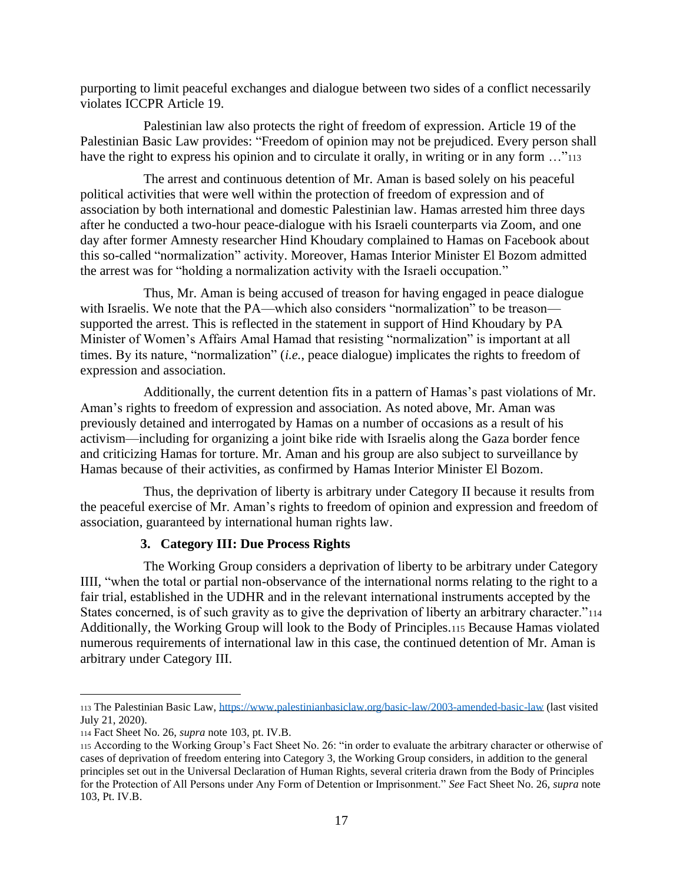purporting to limit peaceful exchanges and dialogue between two sides of a conflict necessarily violates ICCPR Article 19.

Palestinian law also protects the right of freedom of expression. Article 19 of the Palestinian Basic Law provides: "Freedom of opinion may not be prejudiced. Every person shall have the right to express his opinion and to circulate it orally, in writing or in any form ..."<sup>113</sup>

The arrest and continuous detention of Mr. Aman is based solely on his peaceful political activities that were well within the protection of freedom of expression and of association by both international and domestic Palestinian law. Hamas arrested him three days after he conducted a two-hour peace-dialogue with his Israeli counterparts via Zoom, and one day after former Amnesty researcher Hind Khoudary complained to Hamas on Facebook about this so-called "normalization" activity. Moreover, Hamas Interior Minister El Bozom admitted the arrest was for "holding a normalization activity with the Israeli occupation."

Thus, Mr. Aman is being accused of treason for having engaged in peace dialogue with Israelis. We note that the PA—which also considers "normalization" to be treason supported the arrest. This is reflected in the statement in support of Hind Khoudary by PA Minister of Women's Affairs Amal Hamad that resisting "normalization" is important at all times. By its nature, "normalization" (*i.e.*, peace dialogue) implicates the rights to freedom of expression and association.

Additionally, the current detention fits in a pattern of Hamas's past violations of Mr. Aman's rights to freedom of expression and association. As noted above, Mr. Aman was previously detained and interrogated by Hamas on a number of occasions as a result of his activism—including for organizing a joint bike ride with Israelis along the Gaza border fence and criticizing Hamas for torture. Mr. Aman and his group are also subject to surveillance by Hamas because of their activities, as confirmed by Hamas Interior Minister El Bozom.

Thus, the deprivation of liberty is arbitrary under Category II because it results from the peaceful exercise of Mr. Aman's rights to freedom of opinion and expression and freedom of association, guaranteed by international human rights law.

#### **3. Category III: Due Process Rights**

The Working Group considers a deprivation of liberty to be arbitrary under Category IIII, "when the total or partial non-observance of the international norms relating to the right to a fair trial, established in the UDHR and in the relevant international instruments accepted by the States concerned, is of such gravity as to give the deprivation of liberty an arbitrary character."<sup>114</sup> Additionally, the Working Group will look to the Body of Principles.<sup>115</sup> Because Hamas violated numerous requirements of international law in this case, the continued detention of Mr. Aman is arbitrary under Category III.

<sup>113</sup> The Palestinian Basic Law,<https://www.palestinianbasiclaw.org/basic-law/2003-amended-basic-law> (last visited July 21, 2020).

<sup>114</sup> Fact Sheet No. 26, *supra* note 103, pt. IV.B.

<sup>115</sup> According to the Working Group's Fact Sheet No. 26: "in order to evaluate the arbitrary character or otherwise of cases of deprivation of freedom entering into Category 3, the Working Group considers, in addition to the general principles set out in the Universal Declaration of Human Rights, several criteria drawn from the Body of Principles for the Protection of All Persons under Any Form of Detention or Imprisonment." *See* Fact Sheet No. 26, *supra* note 103, Pt. IV.B.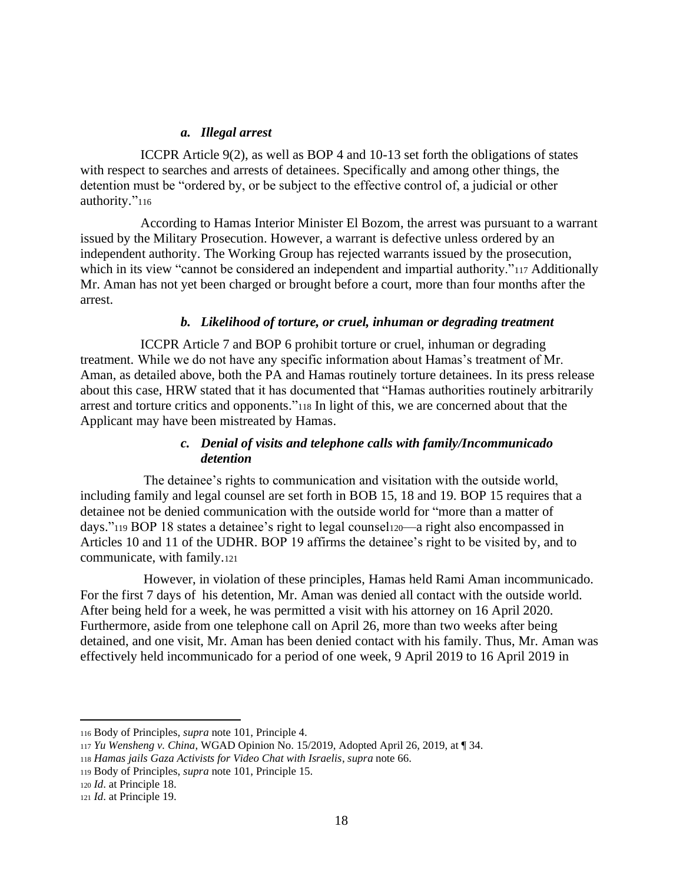#### *a. Illegal arrest*

ICCPR Article 9(2), as well as BOP 4 and 10-13 set forth the obligations of states with respect to searches and arrests of detainees. Specifically and among other things, the detention must be "ordered by, or be subject to the effective control of, a judicial or other authority."116

According to Hamas Interior Minister El Bozom, the arrest was pursuant to a warrant issued by the Military Prosecution. However, a warrant is defective unless ordered by an independent authority. The Working Group has rejected warrants issued by the prosecution, which in its view "cannot be considered an independent and impartial authority."<sup>117</sup> Additionally Mr. Aman has not yet been charged or brought before a court, more than four months after the arrest.

#### *b. Likelihood of torture, or cruel, inhuman or degrading treatment*

ICCPR Article 7 and BOP 6 prohibit torture or cruel, inhuman or degrading treatment. While we do not have any specific information about Hamas's treatment of Mr. Aman, as detailed above, both the PA and Hamas routinely torture detainees. In its press release about this case, HRW stated that it has documented that "Hamas authorities routinely arbitrarily arrest and torture critics and opponents."<sup>118</sup> In light of this, we are concerned about that the Applicant may have been mistreated by Hamas.

#### *c. Denial of visits and telephone calls with family/Incommunicado detention*

The detainee's rights to communication and visitation with the outside world, including family and legal counsel are set forth in BOB 15, 18 and 19. BOP 15 requires that a detainee not be denied communication with the outside world for "more than a matter of days."<sup>119</sup> BOP 18 states a detainee's right to legal counsel120—a right also encompassed in Articles 10 and 11 of the UDHR. BOP 19 affirms the detainee's right to be visited by, and to communicate, with family.<sup>121</sup>

However, in violation of these principles, Hamas held Rami Aman incommunicado. For the first 7 days of his detention, Mr. Aman was denied all contact with the outside world. After being held for a week, he was permitted a visit with his attorney on 16 April 2020. Furthermore, aside from one telephone call on April 26, more than two weeks after being detained, and one visit, Mr. Aman has been denied contact with his family. Thus, Mr. Aman was effectively held incommunicado for a period of one week, 9 April 2019 to 16 April 2019 in

<sup>116</sup> Body of Principles, *supra* note 101, Principle 4.

<sup>117</sup> *Yu Wensheng v. China*, WGAD Opinion No. 15/2019, Adopted April 26, 2019, at ¶ 34.

<sup>118</sup> *Hamas jails Gaza Activists for Video Chat with Israelis*, *supra* note 66.

<sup>119</sup> Body of Principles, *supra* note 101, Principle 15.

<sup>120</sup> *Id*. at Principle 18.

<sup>121</sup> *Id*. at Principle 19.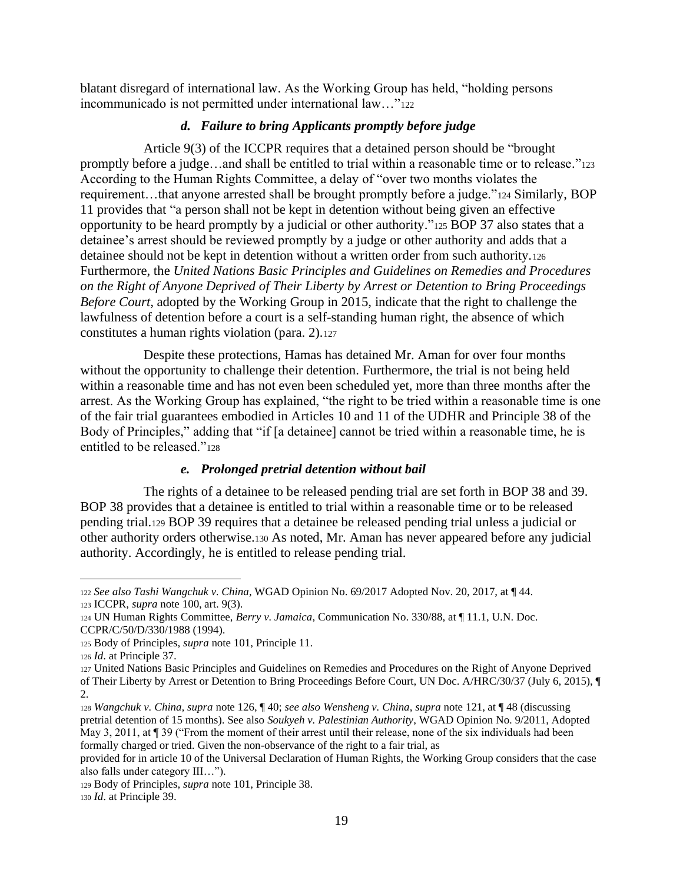blatant disregard of international law. As the Working Group has held, "holding persons incommunicado is not permitted under international law…"<sup>122</sup>

#### *d. Failure to bring Applicants promptly before judge*

Article 9(3) of the ICCPR requires that a detained person should be "brought promptly before a judge…and shall be entitled to trial within a reasonable time or to release."<sup>123</sup> According to the Human Rights Committee, a delay of "over two months violates the requirement…that anyone arrested shall be brought promptly before a judge."<sup>124</sup> Similarly, BOP 11 provides that "a person shall not be kept in detention without being given an effective opportunity to be heard promptly by a judicial or other authority."<sup>125</sup> BOP 37 also states that a detainee's arrest should be reviewed promptly by a judge or other authority and adds that a detainee should not be kept in detention without a written order from such authority.<sup>126</sup> Furthermore, the *United Nations Basic Principles and Guidelines on Remedies and Procedures on the Right of Anyone Deprived of Their Liberty by Arrest or Detention to Bring Proceedings Before Court*, adopted by the Working Group in 2015, indicate that the right to challenge the lawfulness of detention before a court is a self-standing human right, the absence of which constitutes a human rights violation (para. 2).<sup>127</sup>

Despite these protections, Hamas has detained Mr. Aman for over four months without the opportunity to challenge their detention. Furthermore, the trial is not being held within a reasonable time and has not even been scheduled yet, more than three months after the arrest. As the Working Group has explained, "the right to be tried within a reasonable time is one of the fair trial guarantees embodied in Articles 10 and 11 of the UDHR and Principle 38 of the Body of Principles," adding that "if [a detainee] cannot be tried within a reasonable time, he is entitled to be released."<sup>128</sup>

#### *e. Prolonged pretrial detention without bail*

The rights of a detainee to be released pending trial are set forth in BOP 38 and 39. BOP 38 provides that a detainee is entitled to trial within a reasonable time or to be released pending trial.<sup>129</sup> BOP 39 requires that a detainee be released pending trial unless a judicial or other authority orders otherwise.<sup>130</sup> As noted, Mr. Aman has never appeared before any judicial authority. Accordingly, he is entitled to release pending trial.

<sup>122</sup> *See also Tashi Wangchuk v. China*, WGAD Opinion No. 69/2017 Adopted Nov. 20, 2017, at ¶ 44. <sup>123</sup> ICCPR, *supra* note 100, art. 9(3).

<sup>124</sup> UN Human Rights Committee, *Berry v. Jamaica*, Communication No. 330/88, at ¶ 11.1, U.N. Doc. CCPR/C/50/D/330/1988 (1994).

<sup>125</sup> Body of Principles, *supra* note 101, Principle 11.

<sup>126</sup> *Id*. at Principle 37.

<sup>127</sup> United Nations Basic Principles and Guidelines on Remedies and Procedures on the Right of Anyone Deprived of Their Liberty by Arrest or Detention to Bring Proceedings Before Court, UN Doc. A/HRC/30/37 (July 6, 2015), ¶ 2.

<sup>128</sup> *Wangchuk v. China, supra* note 126, ¶ 40; *see also Wensheng v. China*, *supra* note 121, at ¶ 48 (discussing pretrial detention of 15 months). See also *Soukyeh v. Palestinian Authority*, WGAD Opinion No. 9/2011, Adopted May 3, 2011, at ¶ 39 ("From the moment of their arrest until their release, none of the six individuals had been formally charged or tried. Given the non-observance of the right to a fair trial, as

provided for in article 10 of the Universal Declaration of Human Rights, the Working Group considers that the case also falls under category III…").

<sup>129</sup> Body of Principles, *supra* note 101, Principle 38.

<sup>130</sup> *Id*. at Principle 39.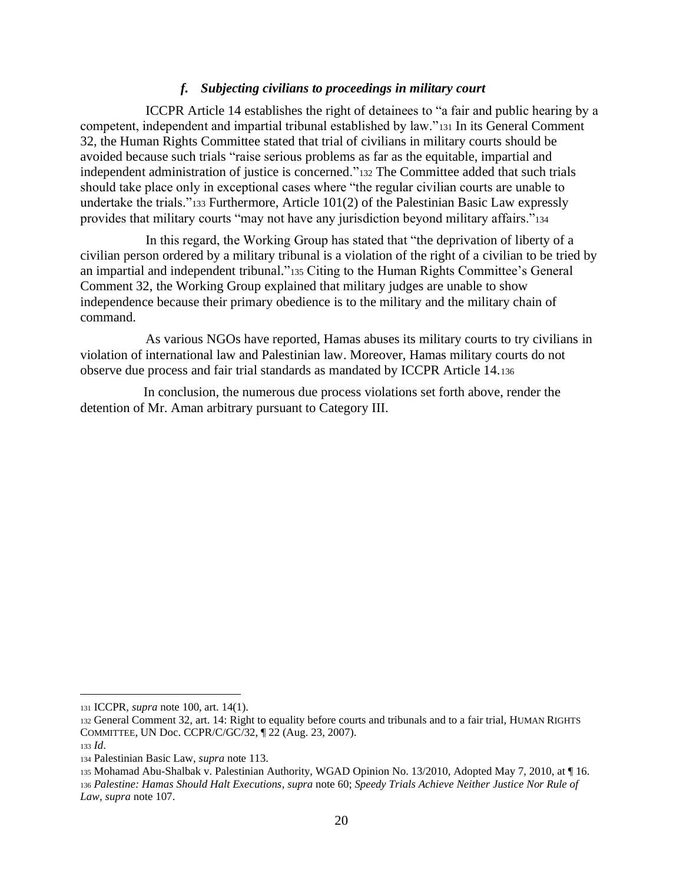#### *f. Subjecting civilians to proceedings in military court*

ICCPR Article 14 establishes the right of detainees to "a fair and public hearing by a competent, independent and impartial tribunal established by law."<sup>131</sup> In its General Comment 32, the Human Rights Committee stated that trial of civilians in military courts should be avoided because such trials "raise serious problems as far as the equitable, impartial and independent administration of justice is concerned."<sup>132</sup> The Committee added that such trials should take place only in exceptional cases where "the regular civilian courts are unable to undertake the trials."<sup>133</sup> Furthermore, Article 101(2) of the Palestinian Basic Law expressly provides that military courts "may not have any jurisdiction beyond military affairs."<sup>134</sup>

In this regard, the Working Group has stated that "the deprivation of liberty of a civilian person ordered by a military tribunal is a violation of the right of a civilian to be tried by an impartial and independent tribunal."<sup>135</sup> Citing to the Human Rights Committee's General Comment 32, the Working Group explained that military judges are unable to show independence because their primary obedience is to the military and the military chain of command.

As various NGOs have reported, Hamas abuses its military courts to try civilians in violation of international law and Palestinian law. Moreover, Hamas military courts do not observe due process and fair trial standards as mandated by ICCPR Article 14.<sup>136</sup>

In conclusion, the numerous due process violations set forth above, render the detention of Mr. Aman arbitrary pursuant to Category III.

<sup>131</sup> ICCPR, *supra* note 100, art. 14(1).

<sup>132</sup> General Comment 32, art. 14: Right to equality before courts and tribunals and to a fair trial, HUMAN RIGHTS COMMITTEE, UN Doc. CCPR/C/GC/32, ¶ 22 (Aug. 23, 2007).

<sup>133</sup> *Id*.

<sup>134</sup> Palestinian Basic Law, *supra* note 113.

<sup>135</sup> Mohamad Abu-Shalbak v. Palestinian Authority, WGAD Opinion No. 13/2010, Adopted May 7, 2010, at ¶ 16. <sup>136</sup> *Palestine: Hamas Should Halt Executions*, *supra* note 60; *Speedy Trials Achieve Neither Justice Nor Rule of Law, supra* note 107.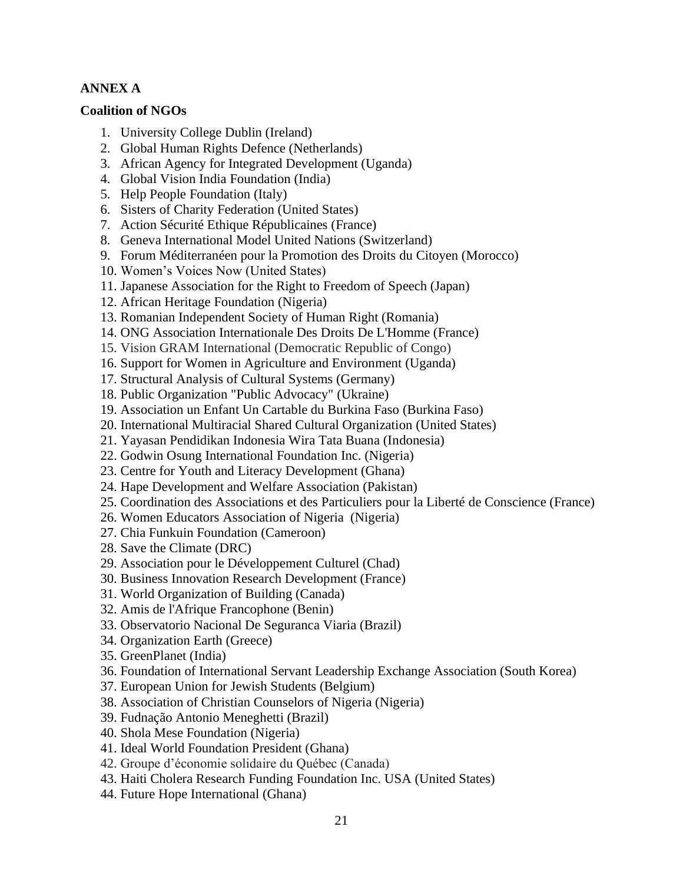### **ANNEX A**

#### **Coalition of NGOs**

- 1. University College Dublin (Ireland)
- 2. Global Human Rights Defence (Netherlands)
- 3. African Agency for Integrated Development (Uganda)
- 4. Global Vision India Foundation (India)
- 5. Help People Foundation (Italy)
- 6. Sisters of Charity Federation (United States)
- 7. Action Sécurité Ethique Républicaines (France)
- 8. Geneva International Model United Nations (Switzerland)
- 9. Forum Méditerranéen pour la Promotion des Droits du Citoyen (Morocco)
- 10. Women's Voices Now (United States)
- 11. Japanese Association for the Right to Freedom of Speech (Japan)
- 12. African Heritage Foundation (Nigeria)
- 13. Romanian Independent Society of Human Right (Romania)
- 14. ONG Association Internationale Des Droits De L'Homme (France)
- 15. Vision GRAM International (Democratic Republic of Congo)
- 16. Support for Women in Agriculture and Environment (Uganda)
- 17. Structural Analysis of Cultural Systems (Germany)
- 18. Public Organization "Public Advocacy" (Ukraine)
- 19. Association un Enfant Un Cartable du Burkina Faso (Burkina Faso)
- 20. International Multiracial Shared Cultural Organization (United States)
- 21. Yayasan Pendidikan Indonesia Wira Tata Buana (Indonesia)
- 22. Godwin Osung International Foundation Inc. (Nigeria)
- 23. Centre for Youth and Literacy Development (Ghana)
- 24. Hape Development and Welfare Association (Pakistan)
- 25. Coordination des Associations et des Particuliers pour la Liberté de Conscience (France)
- 26. Women Educators Association of Nigeria (Nigeria)
- 27. Chia Funkuin Foundation (Cameroon)
- 28. Save the Climate (DRC)
- 29. Association pour le Développement Culturel (Chad)
- 30. Business Innovation Research Development (France)
- 31. World Organization of Building (Canada)
- 32. Amis de l'Afrique Francophone (Benin)
- 33. Observatorio Nacional De Seguranca Viaria (Brazil)
- 34. Organization Earth (Greece)
- 35. GreenPlanet (India)
- 36. Foundation of International Servant Leadership Exchange Association (South Korea)
- 37. European Union for Jewish Students (Belgium)
- 38. Association of Christian Counselors of Nigeria (Nigeria)
- 39. Fudnação Antonio Meneghetti (Brazil)
- 40. Shola Mese Foundation (Nigeria)
- 41. Ideal World Foundation President (Ghana)
- 42. Groupe d'économie solidaire du Québec (Canada)
- 43. Haiti Cholera Research Funding Foundation Inc. USA (United States)
- 44. Future Hope International (Ghana)